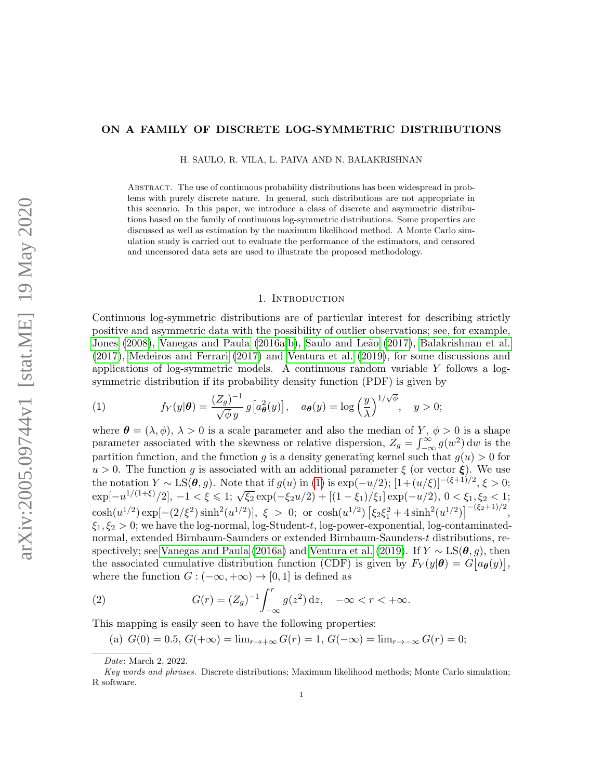# ON A FAMILY OF DISCRETE LOG-SYMMETRIC DISTRIBUTIONS

H. SAULO, R. VILA, L. PAIVA AND N. BALAKRISHNAN

Abstract. The use of continuous probability distributions has been widespread in problems with purely discrete nature. In general, such distributions are not appropriate in this scenario. In this paper, we introduce a class of discrete and asymmetric distributions based on the family of continuous log-symmetric distributions. Some properties are discussed as well as estimation by the maximum likelihood method. A Monte Carlo simulation study is carried out to evaluate the performance of the estimators, and censored and uncensored data sets are used to illustrate the proposed methodology.

#### 1. INTRODUCTION

<span id="page-0-2"></span>Continuous log-symmetric distributions are of particular interest for describing strictly positive and asymmetric data with the possibility of outlier observations; see, for example, [Jones](#page-16-0) [\(2008\)](#page-16-0), [Vanegas and Paula](#page-16-1) [\(2016a](#page-16-1)[,b\)](#page-16-2), Saulo and Leão [\(2017\)](#page-16-3), [Balakrishnan et al.](#page-16-4) [\(2017\)](#page-16-4), [Medeiros and Ferrari](#page-16-5) [\(2017\)](#page-16-5) and [Ventura et al.](#page-17-0) [\(2019\)](#page-17-0), for some discussions and applications of log-symmetric models. A continuous random variable  $Y$  follows a logsymmetric distribution if its probability density function (PDF) is given by

<span id="page-0-0"></span>(1) 
$$
f_Y(y|\theta) = \frac{(Z_g)^{-1}}{\sqrt{\phi} y} g\left[a_\theta^2(y)\right], \quad a_\theta(y) = \log\left(\frac{y}{\lambda}\right)^{1/\sqrt{\phi}}, \quad y > 0;
$$

where  $\boldsymbol{\theta} = (\lambda, \phi), \lambda > 0$  is a scale parameter and also the median of Y,  $\phi > 0$  is a shape parameter associated with the skewness or relative dispersion,  $Z_g = \int_{-\infty}^{\infty} g(w^2) dw$  is the partition function, and the function g is a density generating kernel such that  $g(u) > 0$  for  $u > 0$ . The function g is associated with an additional parameter  $\xi$  (or vector  $\xi$ ). We use the notation  $Y \sim LS(\theta, g)$ . Note that if  $g(u)$  in [\(1\)](#page-0-0) is  $\exp(-u/2)$ ;  $[1+(u/\xi)]^{-(\xi+1)/2}$ ,  $\xi > 0$ ; the notation  $P \approx \text{ES}(\sigma, g)$ . Note that if  $g(u)$  in (1) is  $\exp(-u/2)$ ;  $[1 + (u/\varsigma)] \approx 7$ ,  $\varsigma > 0$ ;<br> $\exp[-u^{1/(1+\xi)}/2]$ ,  $-1 < \xi \le 1$ ;  $\sqrt{\xi_2} \exp(-\xi_2 u/2) + [(1 - \xi_1)/\xi_1] \exp(-u/2)$ ,  $0 < \xi_1, \xi_2 < 1$ ;  $\cosh(u^{1/2}) \exp[-(2/\xi^2) \sinh^2(u^{1/2})], \xi > 0; \text{ or } \cosh(u^{1/2}) [\xi_2 \xi_1^2 + 4 \sinh^2(u^{1/2})]^{-(\xi_2+1)/2},$  $\xi_1, \xi_2 > 0$ ; we have the log-normal, log-Student-t, log-power-exponential, log-contaminatednormal, extended Birnbaum-Saunders or extended Birnbaum-Saunders-t distributions, re-spectively; see [Vanegas and Paula](#page-16-1) [\(2016a\)](#page-16-1) and [Ventura et al.](#page-17-0) [\(2019\)](#page-17-0). If  $Y \sim LS(\theta, g)$ , then the associated cumulative distribution function (CDF) is given by  $F_Y(y|\theta) = G[a_\theta(y)],$ where the function  $G : (-\infty, +\infty) \to [0, 1]$  is defined as

<span id="page-0-1"></span>(2) 
$$
G(r) = (Z_g)^{-1} \int_{-\infty}^r g(z^2) dz, \quad -\infty < r < +\infty.
$$

This mapping is easily seen to have the following properties:

(a)  $G(0) = 0.5, G(+\infty) = \lim_{r \to +\infty} G(r) = 1, G(-\infty) = \lim_{r \to -\infty} G(r) = 0;$ 

Date: March 2, 2022.

Key words and phrases. Discrete distributions; Maximum likelihood methods; Monte Carlo simulation; R software.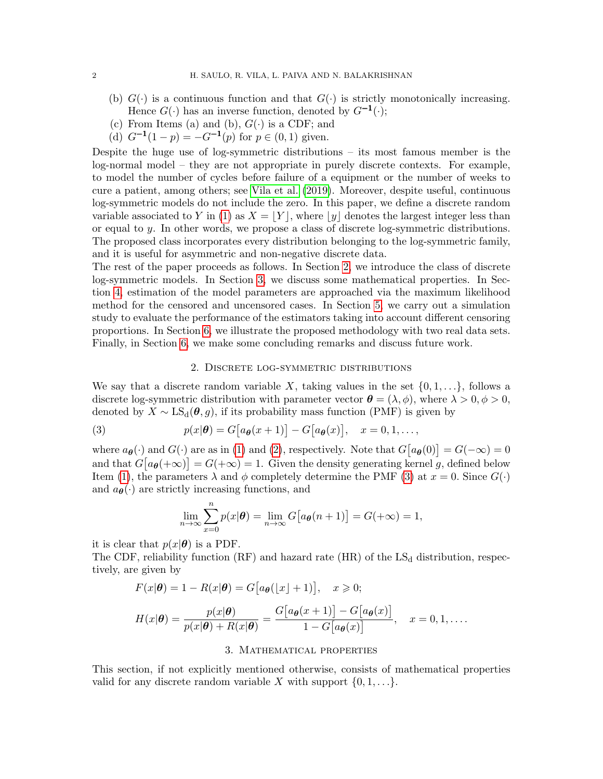- (b)  $G(\cdot)$  is a continuous function and that  $G(\cdot)$  is strictly monotonically increasing. Hence  $G(\cdot)$  has an inverse function, denoted by  $G^{-1}(\cdot);$
- (c) From Items (a) and (b),  $G(\cdot)$  is a CDF; and
- (d)  $G^{-1}(1-p) = -G^{-1}(p)$  for  $p \in (0,1)$  given.

Despite the huge use of log-symmetric distributions – its most famous member is the log-normal model – they are not appropriate in purely discrete contexts. For example, to model the number of cycles before failure of a equipment or the number of weeks to cure a patient, among others; see [Vila et al.](#page-17-1) [\(2019\)](#page-17-1). Moreover, despite useful, continuous log-symmetric models do not include the zero. In this paper, we define a discrete random variable associated to Y in [\(1\)](#page-0-0) as  $X = |Y|$ , where  $|y|$  denotes the largest integer less than or equal to y. In other words, we propose a class of discrete log-symmetric distributions. The proposed class incorporates every distribution belonging to the log-symmetric family, and it is useful for asymmetric and non-negative discrete data.

The rest of the paper proceeds as follows. In Section [2,](#page-1-0) we introduce the class of discrete log-symmetric models. In Section [3,](#page-1-1) we discuss some mathematical properties. In Section [4,](#page-6-0) estimation of the model parameters are approached via the maximum likelihood method for the censored and uncensored cases. In Section [5,](#page-8-0) we carry out a simulation study to evaluate the performance of the estimators taking into account different censoring proportions. In Section [6,](#page-12-0) we illustrate the proposed methodology with two real data sets. Finally, in Section [6,](#page-12-0) we make some concluding remarks and discuss future work.

## 2. Discrete log-symmetric distributions

<span id="page-1-0"></span>We say that a discrete random variable X, taking values in the set  $\{0, 1, \ldots\}$ , follows a discrete log-symmetric distribution with parameter vector  $\boldsymbol{\theta} = (\lambda, \phi)$ , where  $\lambda > 0, \phi > 0$ , denoted by  $X \sim \text{LS}_{d}(\theta, g)$ , if its probability mass function (PMF) is given by

<span id="page-1-2"></span>(3) 
$$
p(x|\boldsymbol{\theta}) = G[a_{\boldsymbol{\theta}}(x+1)] - G[a_{\boldsymbol{\theta}}(x)], \quad x = 0, 1, \ldots,
$$

where  $a_{\theta}(\cdot)$  and  $G(\cdot)$  are as in [\(1\)](#page-0-0) and [\(2\)](#page-0-1), respectively. Note that  $G[a_{\theta}(0)] = G(-\infty) = 0$ and that  $G[a_{\theta}(+\infty)] = G(+\infty) = 1$ . Given the density generating kernel g, defined below Item [\(1\)](#page-0-0), the parameters  $\lambda$  and  $\phi$  completely determine the PMF [\(3\)](#page-1-2) at  $x = 0$ . Since  $G(\cdot)$ and  $a_{\theta}(\cdot)$  are strictly increasing functions, and

$$
\lim_{n \to \infty} \sum_{x=0}^{n} p(x|\boldsymbol{\theta}) = \lim_{n \to \infty} G\big[a_{\boldsymbol{\theta}}(n+1)\big] = G(+\infty) = 1,
$$

it is clear that  $p(x|\theta)$  is a PDF.

The CDF, reliability function (RF) and hazard rate (HR) of the  $LS_d$  distribution, respectively, are given by

$$
F(x|\boldsymbol{\theta}) = 1 - R(x|\boldsymbol{\theta}) = G[a_{\boldsymbol{\theta}}(\lfloor x \rfloor + 1)], \quad x \geqslant 0;
$$

$$
H(x|\boldsymbol{\theta}) = \frac{p(x|\boldsymbol{\theta})}{p(x|\boldsymbol{\theta}) + R(x|\boldsymbol{\theta})} = \frac{G\big[a_{\boldsymbol{\theta}}(x+1)\big] - G\big[a_{\boldsymbol{\theta}}(x)\big]}{1 - G\big[a_{\boldsymbol{\theta}}(x)\big]}, \quad x = 0, 1, \ldots.
$$

# 3. Mathematical properties

<span id="page-1-1"></span>This section, if not explicitly mentioned otherwise, consists of mathematical properties valid for any discrete random variable X with support  $\{0, 1, \ldots\}$ .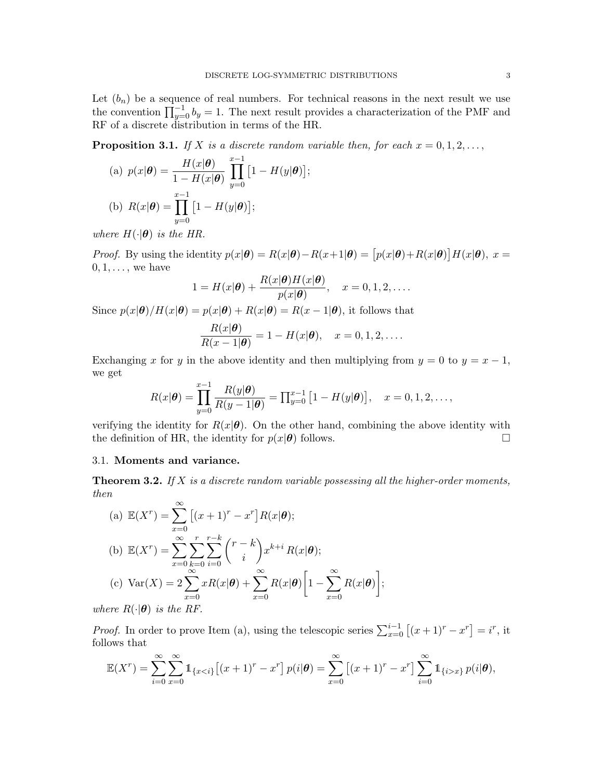Let  $(b_n)$  be a sequence of real numbers. For technical reasons in the next result we use the convention  $\prod_{y=0}^{-1} b_y = 1$ . The next result provides a characterization of the PMF and RF of a discrete distribution in terms of the HR.

<span id="page-2-0"></span>**Proposition 3.1.** If X is a discrete random variable then, for each  $x = 0, 1, 2, \ldots$ ,

(a) 
$$
p(x|\theta) = \frac{H(x|\theta)}{1 - H(x|\theta)} \prod_{y=0}^{x-1} [1 - H(y|\theta)];
$$
  
\n(b)  $R(x|\theta) = \prod_{y=0}^{x-1} [1 - H(y|\theta)];$ 

where  $H(\cdot|\boldsymbol{\theta})$  is the HR.

*Proof.* By using the identity  $p(x|\theta) = R(x|\theta) - R(x+1|\theta) = [p(x|\theta) + R(x|\theta)]H(x|\theta), x =$  $0, 1, \ldots$ , we have

$$
1 = H(x|\boldsymbol{\theta}) + \frac{R(x|\boldsymbol{\theta})H(x|\boldsymbol{\theta})}{p(x|\boldsymbol{\theta})}, \quad x = 0, 1, 2, \dots
$$

Since  $p(x|\theta)/H(x|\theta) = p(x|\theta) + R(x|\theta) = R(x-1|\theta)$ , it follows that

$$
\frac{R(x|\boldsymbol{\theta})}{R(x-1|\boldsymbol{\theta})} = 1 - H(x|\boldsymbol{\theta}), \quad x = 0, 1, 2, \dots
$$

Exchanging x for y in the above identity and then multiplying from  $y = 0$  to  $y = x - 1$ , we get

$$
R(x|\boldsymbol{\theta}) = \prod_{y=0}^{x-1} \frac{R(y|\boldsymbol{\theta})}{R(y-1|\boldsymbol{\theta})} = \prod_{y=0}^{x-1} \left[1 - H(y|\boldsymbol{\theta})\right], \quad x = 0, 1, 2, \dots,
$$

verifying the identity for  $R(x|\theta)$ . On the other hand, combining the above identity with the definition of HR, the identity for  $p(x|\theta)$  follows.

# 3.1. Moments and variance.

**Theorem 3.2.** If X is a discrete random variable possessing all the higher-order moments, then

(a) 
$$
\mathbb{E}(X^r) = \sum_{x=0}^{\infty} [(x+1)^r - x^r] R(x | \boldsymbol{\theta});
$$
  
\n(b) 
$$
\mathbb{E}(X^r) = \sum_{x=0}^{\infty} \sum_{k=0}^r \sum_{i=0}^{r-k} {r-k \choose i} x^{k+i} R(x | \boldsymbol{\theta});
$$
  
\n(c) 
$$
\text{Var}(X) = 2 \sum_{x=0}^{\infty} x R(x | \boldsymbol{\theta}) + \sum_{x=0}^{\infty} R(x | \boldsymbol{\theta}) \left[ 1 - \sum_{x=0}^{\infty} R(x | \boldsymbol{\theta}) \right];
$$

where  $R(\cdot|\boldsymbol{\theta})$  is the RF.

*Proof.* In order to prove Item (a), using the telescopic series  $\sum_{x=0}^{i-1} [(x+1)^{r} - x^{r}] = i^{r}$ , it follows that

$$
\mathbb{E}(X^r) = \sum_{i=0}^{\infty} \sum_{x=0}^{\infty} \mathbb{1}_{\{x < i\}} [(x+1)^r - x^r] \, p(i|\boldsymbol{\theta}) = \sum_{x=0}^{\infty} [(x+1)^r - x^r] \sum_{i=0}^{\infty} \mathbb{1}_{\{i > x\}} \, p(i|\boldsymbol{\theta}),
$$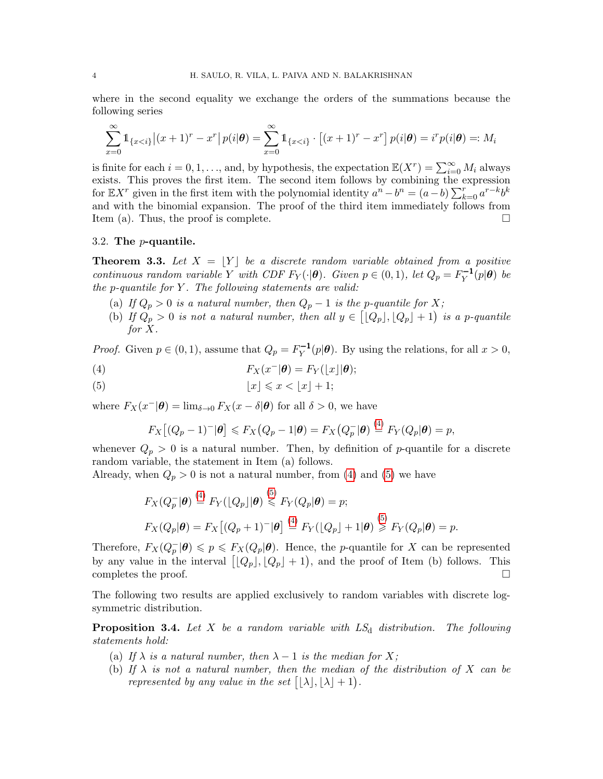where in the second equality we exchange the orders of the summations because the following series

$$
\sum_{x=0}^{\infty} \mathbb{1}_{\{x < i\}} |(x+1)^r - x^r| \, p(i|\boldsymbol{\theta}) = \sum_{x=0}^{\infty} \mathbb{1}_{\{x < i\}} \cdot \left[ (x+1)^r - x^r \right] p(i|\boldsymbol{\theta}) = i^r p(i|\boldsymbol{\theta}) =: M_i
$$

is finite for each  $i = 0, 1, ...,$  and, by hypothesis, the expectation  $\mathbb{E}(X^r) = \sum_{i=0}^{\infty} M_i$  always exists. This proves the first item. The second item follows by combining the expression for  $\mathbb{E}[X^r]$  given in the first item with the polynomial identity  $a^n - b^n = (a - b) \sum_{k=0}^r a^{r-k} b^k$ and with the binomial expansion. The proof of the third item immediately follows from Item (a). Thus, the proof is complete.

## 3.2. The p-quantile.

<span id="page-3-2"></span>**Theorem 3.3.** Let  $X = |Y|$  be a discrete random variable obtained from a positive continuous random variable Y with CDF  $F_Y(\cdot|\theta)$ . Given  $p \in (0,1)$ , let  $Q_p = F_Y^{-1}$  $\sum_{Y}^{\mathbf{-1}}(p|\boldsymbol{\theta})$  be the p-quantile for  $Y$ . The following statements are valid:

- (a) If  $Q_p > 0$  is a natural number, then  $Q_p 1$  is the p-quantile for X;
- (b) If  $Q_p > 0$  is not a natural number, then all  $y \in [Q_p], [Q_p] + 1$  is a p-quantile for X.

*Proof.* Given  $p \in (0, 1)$ , assume that  $Q_p = F_Y^{-1}$  $\prod_{Y}^{T-1}(p|\theta)$ . By using the relations, for all  $x > 0$ ,

<span id="page-3-0"></span>(4) 
$$
F_X(x^-|\boldsymbol{\theta}) = F_Y(\lfloor x \rfloor |\boldsymbol{\theta});
$$

<span id="page-3-1"></span>
$$
(5) \t\t\t |x| \leq x < \lfloor x \rfloor + 1;
$$

where  $F_X(x^-|\theta) = \lim_{\delta \to 0} F_X(x - \delta|\theta)$  for all  $\delta > 0$ , we have

$$
F_X\big[(Q_p-1)^{-}|\boldsymbol{\theta}\big] \leqslant F_X\big(Q_p-1|\boldsymbol{\theta}\big) = F_X\big(Q_p^{-}|\boldsymbol{\theta}\big) \stackrel{(4)}{=} F_Y(Q_p|\boldsymbol{\theta}\big) = p,
$$

 $\sim$ 

whenever  $Q_p > 0$  is a natural number. Then, by definition of p-quantile for a discrete random variable, the statement in Item (a) follows.

Already, when  $Q_p > 0$  is not a natural number, from [\(4\)](#page-3-0) and [\(5\)](#page-3-1) we have

$$
F_X(Q_p^-|\boldsymbol{\theta}) \stackrel{\text{(4)}}{=} F_Y(\lfloor Q_p \rfloor |\boldsymbol{\theta}) \stackrel{\text{(5)}}{\leq} F_Y(Q_p|\boldsymbol{\theta}) = p;
$$
  

$$
F_X(Q_p|\boldsymbol{\theta}) = F_X\big[(Q_p+1)^-|\boldsymbol{\theta}\big] \stackrel{\text{(4)}}{=} F_Y(\lfloor Q_p \rfloor + 1|\boldsymbol{\theta}) \stackrel{\text{(5)}}{\geq} F_Y(Q_p|\boldsymbol{\theta}) = p.
$$

Therefore,  $F_X(Q_p^-|\theta) \leq p \leq F_X(Q_p|\theta)$ . Hence, the *p*-quantile for X can be represented by any value in the interval  $[Q_p], [Q_p] + 1$ , and the proof of Item (b) follows. This completes the proof.  $\Box$ 

The following two results are applied exclusively to random variables with discrete logsymmetric distribution.

<span id="page-3-3"></span>**Proposition 3.4.** Let X be a random variable with  $LS_d$  distribution. The following statements hold:

- (a) If  $\lambda$  is a natural number, then  $\lambda 1$  is the median for X;
- (b) If  $\lambda$  is not a natural number, then the median of the distribution of X can be represented by any value in the set  $[|\lambda|, |\lambda| + 1]$ .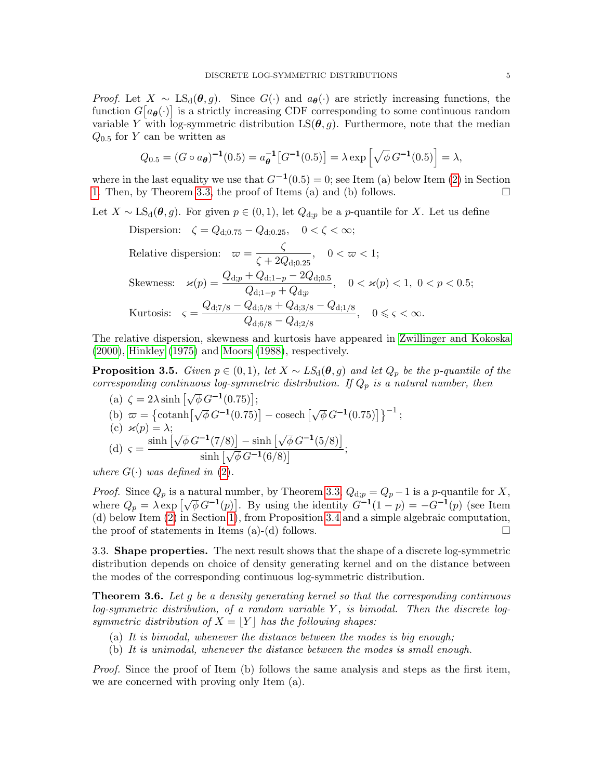*Proof.* Let  $X \sim \text{LS}_{d}(\theta, g)$ . Since  $G(\cdot)$  and  $a_{\theta}(\cdot)$  are strictly increasing functions, the function  $G[a_{\theta}(\cdot)]$  is a strictly increasing CDF corresponding to some continuous random variable Y with log-symmetric distribution  $LS(\theta, g)$ . Furthermore, note that the median  $Q_{0.5}$  for Y can be written as

$$
Q_{0.5} = (G \circ a_{\theta})^{-1}(0.5) = a_{\theta}^{-1}[G^{-1}(0.5)] = \lambda \exp\left[\sqrt{\phi} G^{-1}(0.5)\right] = \lambda,
$$

where in the last equality we use that  $G^{-1}(0.5) = 0$ ; see Item (a) below Item [\(2\)](#page-0-1) in Section [1.](#page-0-2) Then, by Theorem [3.3,](#page-3-2) the proof of Items (a) and (b) follows.  $\Box$ 

Let  $X \sim LS_d(\theta, g)$ . For given  $p \in (0, 1)$ , let  $Q_{d,p}$  be a p-quantile for X. Let us define

Dispersion: 
$$
\zeta = Q_{d;0.75} - Q_{d;0.25}, \quad 0 < \zeta < \infty;
$$

\nRelative dispersion:  $\varpi = \frac{\zeta}{\zeta + 2Q_{d;0.25}}, \quad 0 < \varpi < 1;$ 

\nSkewness:  $\varkappa(p) = \frac{Q_{d;p} + Q_{d;1-p} - 2Q_{d;0.5}}{Q_{d;1-p} + Q_{d;p}}, \quad 0 < \varkappa(p) < 1, \quad 0 < p < 0.5;$ 

\nKurtosis:  $\varsigma = \frac{Q_{d;7/8} - Q_{d;5/8} + Q_{d;3/8} - Q_{d;1/8}}{Q_{d;6/8} - Q_{d;2/8}}, \quad 0 \leq \varsigma < \infty.$ 

The relative dispersion, skewness and kurtosis have appeared in [Zwillinger and Kokoska](#page-17-2) [\(2000\)](#page-17-2), [Hinkley](#page-16-6) [\(1975\)](#page-16-6) and [Moors](#page-16-7) [\(1988\)](#page-16-7), respectively.

**Proposition 3.5.** Given  $p \in (0,1)$ , let  $X \sim LS_d(\theta, g)$  and let  $Q_p$  be the p-quantile of the corresponding continuous log-symmetric distribution. If  $Q_p$  is a natural number, then

(a) 
$$
\zeta = 2\lambda \sinh\left[\sqrt{\phi} G^{-1}(0.75)\right];
$$
\n(b)  $\varpi = \left\{\text{cotanh}\left[\sqrt{\phi} G^{-1}(0.75)\right] - \text{cosech}\left[\sqrt{\phi} G^{-1}(0.75)\right]\right\}^{-1};$ \n(c)  $\varkappa(p) = \lambda;$ \n(d)  $\varsigma = \frac{\sinh\left[\sqrt{\phi} G^{-1}(7/8)\right] - \sinh\left[\sqrt{\phi} G^{-1}(5/8)\right]}{\sinh\left[\sqrt{\phi} G^{-1}(6/8)\right]};$ 

where  $G(\cdot)$  was defined in [\(2\)](#page-0-1).

*Proof.* Since  $Q_p$  is a natural number, by Theorem [3.3,](#page-3-2)  $Q_{d,p} = Q_p - 1$  is a p-quantile for X, where  $Q_p = \lambda \exp \left[ \sqrt{\phi} G^{-1}(p) \right]$ . By using the identity  $G^{-1}(1-p) = -G^{-1}(p)$  (see Item (d) below Item [\(2\)](#page-0-1) in Section [1\)](#page-0-2), from Proposition [3.4](#page-3-3) and a simple algebraic computation, the proof of statements in Items (a)-(d) follows.  $\Box$ 

3.3. Shape properties. The next result shows that the shape of a discrete log-symmetric distribution depends on choice of density generating kernel and on the distance between the modes of the corresponding continuous log-symmetric distribution.

<span id="page-4-0"></span>**Theorem 3.6.** Let q be a density generating kernel so that the corresponding continuous  $log-symmetric$  distribution, of a random variable  $Y$ , is bimodal. Then the discrete logsymmetric distribution of  $X = |Y|$  has the following shapes:

- (a) It is bimodal, whenever the distance between the modes is big enough;
- (b) It is unimodal, whenever the distance between the modes is small enough.

Proof. Since the proof of Item (b) follows the same analysis and steps as the first item, we are concerned with proving only Item (a).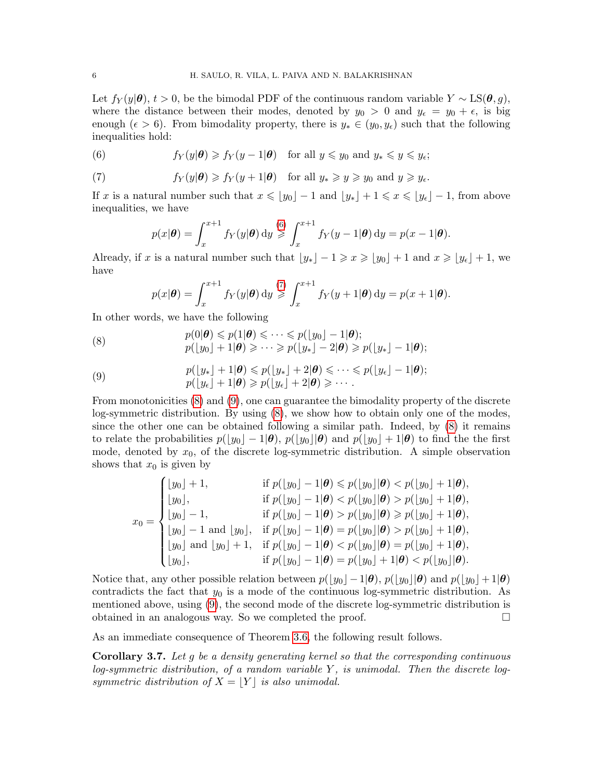Let  $f_Y(y|\theta)$ ,  $t > 0$ , be the bimodal PDF of the continuous random variable  $Y \sim LS(\theta, g)$ , where the distance between their modes, denoted by  $y_0 > 0$  and  $y_\epsilon = y_0 + \epsilon$ , is big enough ( $\epsilon > 6$ ). From bimodality property, there is  $y_* \in (y_0, y_\epsilon)$  such that the following inequalities hold:

<span id="page-5-0"></span>(6) 
$$
f_Y(y|\theta) \ge f_Y(y-1|\theta)
$$
 for all  $y \le y_0$  and  $y_* \le y \le y_{\epsilon}$ ;

<span id="page-5-1"></span>(7) 
$$
f_Y(y|\theta) \ge f_Y(y+1|\theta)
$$
 for all  $y_* \ge y \ge y_0$  and  $y \ge y_{\epsilon}$ .

If x is a natural number such that  $x \leq y_0$  – 1 and  $y_*$  + 1  $\leq x \leq y_\epsilon$  – 1, from above inequalities, we have

$$
p(x|\boldsymbol{\theta}) = \int_x^{x+1} f_Y(y|\boldsymbol{\theta}) \, dy \geqslant \int_x^{x+1} f_Y(y-1|\boldsymbol{\theta}) \, dy = p(x-1|\boldsymbol{\theta}).
$$

Already, if x is a natural number such that  $\lfloor y_* \rfloor - 1 \geq x \geq \lfloor y_0 \rfloor + 1$  and  $x \geq \lfloor y_\epsilon \rfloor + 1$ , we have

$$
p(x|\boldsymbol{\theta}) = \int_x^{x+1} f_Y(y|\boldsymbol{\theta}) \, dy \geqslant \int_x^{x+1} f_Y(y+1|\boldsymbol{\theta}) \, dy = p(x+1|\boldsymbol{\theta}).
$$

In other words, we have the following

<span id="page-5-2"></span>(8) 
$$
p(0|\boldsymbol{\theta}) \leq p(1|\boldsymbol{\theta}) \leq \cdots \leq p(\lfloor y_0 \rfloor - 1|\boldsymbol{\theta});
$$

$$
p(\lfloor y_0 \rfloor + 1|\boldsymbol{\theta}) \geqslant \cdots \geqslant p(\lfloor y_* \rfloor - 2|\boldsymbol{\theta}) \geqslant p(\lfloor y_* \rfloor - 1|\boldsymbol{\theta});
$$

<span id="page-5-3"></span>(9) 
$$
p(\lfloor y_* \rfloor + 1 | \boldsymbol{\theta}) \leqslant p(\lfloor y_* \rfloor + 2 | \boldsymbol{\theta}) \leqslant \cdots \leqslant p(\lfloor y_{\epsilon} \rfloor - 1 | \boldsymbol{\theta});
$$

$$
p(\lfloor y_{\epsilon} \rfloor + 1 | \boldsymbol{\theta}) \geqslant p(\lfloor y_{\epsilon} \rfloor + 2 | \boldsymbol{\theta}) \geqslant \cdots.
$$

From monotonicities [\(8\)](#page-5-2) and [\(9\)](#page-5-3), one can guarantee the bimodality property of the discrete log-symmetric distribution. By using [\(8\)](#page-5-2), we show how to obtain only one of the modes, since the other one can be obtained following a similar path. Indeed, by [\(8\)](#page-5-2) it remains to relate the probabilities  $p(|y_0| - 1|\theta)$ ,  $p(|y_0||\theta)$  and  $p(|y_0| + 1|\theta)$  to find the the first mode, denoted by  $x_0$ , of the discrete log-symmetric distribution. A simple observation shows that  $x_0$  is given by

$$
x_0 = \begin{cases} \lfloor y_0 \rfloor + 1, & \text{if } p(\lfloor y_0 \rfloor - 1 | \theta) \leq p(\lfloor y_0 \rfloor | \theta) < p(\lfloor y_0 \rfloor + 1 | \theta), \\ \lfloor y_0 \rfloor, & \text{if } p(\lfloor y_0 \rfloor - 1 | \theta) < p(\lfloor y_0 \rfloor | \theta) > p(\lfloor y_0 \rfloor + 1 | \theta), \\ \lfloor y_0 \rfloor - 1, & \text{if } p(\lfloor y_0 \rfloor - 1 | \theta) > p(\lfloor y_0 \rfloor | \theta) \geq p(\lfloor y_0 \rfloor + 1 | \theta), \\ \lfloor y_0 \rfloor - 1 \text{ and } \lfloor y_0 \rfloor, & \text{if } p(\lfloor y_0 \rfloor - 1 | \theta) = p(\lfloor y_0 \rfloor | \theta) > p(\lfloor y_0 \rfloor + 1 | \theta), \\ \lfloor y_0 \rfloor, & \text{if } p(\lfloor y_0 \rfloor - 1 | \theta) < p(\lfloor y_0 \rfloor | \theta) = p(\lfloor y_0 \rfloor + 1 | \theta), \\ \lfloor y_0 \rfloor, & \text{if } p(\lfloor y_0 \rfloor - 1 | \theta) = p(\lfloor y_0 \rfloor + 1 | \theta) < p(\lfloor y_0 \rfloor | \theta). \end{cases}
$$

Notice that, any other possible relation between  $p(|y_0| - 1|\theta)$ ,  $p(|y_0||\theta)$  and  $p(|y_0| + 1|\theta)$ contradicts the fact that  $y_0$  is a mode of the continuous log-symmetric distribution. As mentioned above, using [\(9\)](#page-5-3), the second mode of the discrete log-symmetric distribution is obtained in an analogous way. So we completed the proof.

As an immediate consequence of Theorem [3.6,](#page-4-0) the following result follows.

Corollary 3.7. Let g be a density generating kernel so that the corresponding continuous  $log-symmetric$  distribution, of a random variable  $Y$ , is unimodal. Then the discrete logsymmetric distribution of  $X = |Y|$  is also unimodal.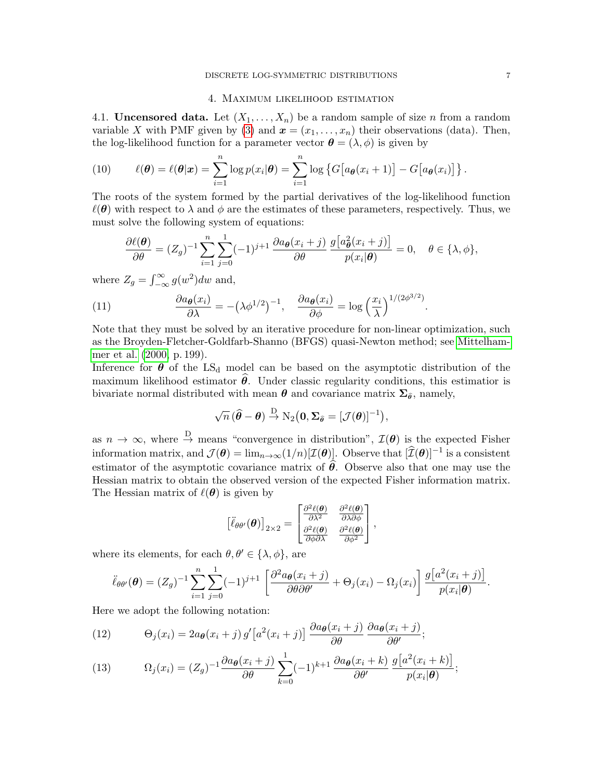## 4. Maximum likelihood estimation

<span id="page-6-0"></span>4.1. **Uncensored data.** Let  $(X_1, \ldots, X_n)$  be a random sample of size n from a random variable X with PMF given by [\(3\)](#page-1-2) and  $\mathbf{x} = (x_1, \ldots, x_n)$  their observations (data). Then, the log-likelihood function for a parameter vector  $\boldsymbol{\theta} = (\lambda, \phi)$  is given by

(10) 
$$
\ell(\boldsymbol{\theta}) = \ell(\boldsymbol{\theta}|\boldsymbol{x}) = \sum_{i=1}^n \log p(x_i|\boldsymbol{\theta}) = \sum_{i=1}^n \log \left\{ G \big[ a_{\boldsymbol{\theta}}(x_i+1) \big] - G \big[ a_{\boldsymbol{\theta}}(x_i) \big] \right\}.
$$

The roots of the system formed by the partial derivatives of the log-likelihood function  $\ell(\theta)$  with respect to  $\lambda$  and  $\phi$  are the estimates of these parameters, respectively. Thus, we must solve the following system of equations:

$$
\frac{\partial \ell(\boldsymbol{\theta})}{\partial \theta} = (Z_g)^{-1} \sum_{i=1}^n \sum_{j=0}^1 (-1)^{j+1} \frac{\partial a_{\boldsymbol{\theta}}(x_i+j)}{\partial \theta} \frac{g[a_{\boldsymbol{\theta}}^2(x_i+j)]}{p(x_i|\boldsymbol{\theta})} = 0, \quad \theta \in \{\lambda, \phi\},
$$

where  $Z_g = \int_{-\infty}^{\infty} g(w^2) dw$  and,

<span id="page-6-3"></span>(11) 
$$
\frac{\partial a_{\boldsymbol{\theta}}(x_i)}{\partial \lambda} = -(\lambda \phi^{1/2})^{-1}, \quad \frac{\partial a_{\boldsymbol{\theta}}(x_i)}{\partial \phi} = \log \left(\frac{x_i}{\lambda}\right)^{1/(2\phi^{3/2})}.
$$

Note that they must be solved by an iterative procedure for non-linear optimization, such as the Broyden-Fletcher-Goldfarb-Shanno (BFGS) quasi-Newton method; see [Mittelham](#page-16-8)[mer et al.](#page-16-8) [\(2000,](#page-16-8) p. 199).

Inference for  $\theta$  of the LS<sub>d</sub> model can be based on the asymptotic distribution of the maximum likelihood estimator  $\hat{\theta}$ . Under classic regularity conditions, this estimatior is bivariate normal distributed with mean  $\theta$  and covariance matrix  $\Sigma_{\hat{\theta}}$ , namely,

$$
\sqrt{n} \, (\widehat{\boldsymbol{\theta}} - \boldsymbol{\theta}) \stackrel{\text{D}}{\rightarrow} \text{N}_2\big(\mathbf{0}, \boldsymbol{\Sigma}_{\widehat{\boldsymbol{\theta}}} = [\mathcal{J}(\boldsymbol{\theta})]^{-1} \big),
$$

as  $n \to \infty$ , where  $\stackrel{D}{\to}$  means "convergence in distribution",  $\mathcal{I}(\theta)$  is the expected Fisher information matrix, and  $\mathcal{J}(\theta) = \lim_{n \to \infty} (1/n) [\mathcal{I}(\theta)].$  Observe that  $[\widehat{\mathcal{I}}(\theta)]^{-1}$  is a consistent estimator of the asymptotic covariance matrix of  $\hat{\theta}$ . Observe also that one may use the Hessian matrix to obtain the observed version of the expected Fisher information matrix. The Hessian matrix of  $\ell(\theta)$  is given by

$$
\left[\ddot{\ell}_{\theta\theta'}(\boldsymbol{\theta})\right]_{2\times 2} = \begin{bmatrix} \frac{\partial^2 \ell(\boldsymbol{\theta})}{\partial \lambda^2} & \frac{\partial^2 \ell(\boldsymbol{\theta})}{\partial \lambda \partial \phi} \\ \frac{\partial^2 \ell(\boldsymbol{\theta})}{\partial \phi \partial \lambda} & \frac{\partial^2 \ell(\boldsymbol{\theta})}{\partial \phi^2} \end{bmatrix},
$$

where its elements, for each  $\theta, \theta' \in {\lambda, \phi}$ , are

$$
\ddot{\ell}_{\theta\theta'}(\theta) = (Z_g)^{-1} \sum_{i=1}^n \sum_{j=0}^1 (-1)^{j+1} \left[ \frac{\partial^2 a_{\theta}(x_i+j)}{\partial \theta \partial \theta'} + \Theta_j(x_i) - \Omega_j(x_i) \right] \frac{g[a^2(x_i+j)]}{p(x_i|\theta)}
$$

Here we adopt the following notation:

<span id="page-6-1"></span>(12) 
$$
\Theta_j(x_i) = 2a_{\theta}(x_i + j) g'\left[a^2(x_i + j)\right] \frac{\partial a_{\theta}(x_i + j)}{\partial \theta} \frac{\partial a_{\theta}(x_i + j)}{\partial \theta'},
$$

<span id="page-6-2"></span>(13) 
$$
\Omega_j(x_i) = (Z_g)^{-1} \frac{\partial a_{\theta}(x_i + j)}{\partial \theta} \sum_{k=0}^1 (-1)^{k+1} \frac{\partial a_{\theta}(x_i + k)}{\partial \theta'} \frac{g[a^2(x_i + k)]}{p(x_i | \theta)};
$$

.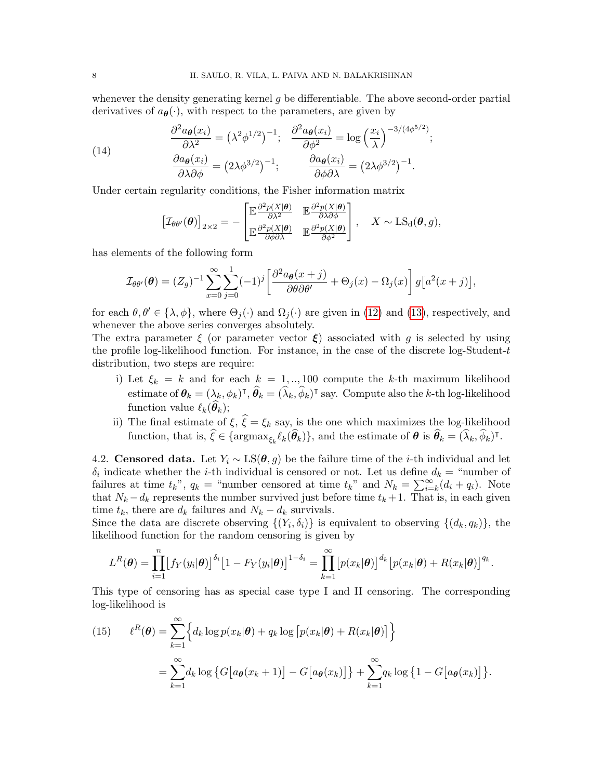whenever the density generating kernel  $q$  be differentiable. The above second-order partial derivatives of  $a_{\theta}(\cdot)$ , with respect to the parameters, are given by

<span id="page-7-1"></span>(14) 
$$
\frac{\partial^2 a_{\theta}(x_i)}{\partial \lambda^2} = (\lambda^2 \phi^{1/2})^{-1}; \quad \frac{\partial^2 a_{\theta}(x_i)}{\partial \phi^2} = \log \left(\frac{x_i}{\lambda}\right)^{-3/(4\phi^{5/2})};
$$

$$
\frac{\partial a_{\theta}(x_i)}{\partial \lambda \partial \phi} = (2\lambda \phi^{3/2})^{-1}; \quad \frac{\partial a_{\theta}(x_i)}{\partial \phi \partial \lambda} = (2\lambda \phi^{3/2})^{-1}.
$$

Under certain regularity conditions, the Fisher information matrix

$$
\left[\mathcal{I}_{\theta\theta'}(\boldsymbol{\theta})\right]_{2\times 2} = -\begin{bmatrix} \mathbb{E} \frac{\partial^2 p(X|\boldsymbol{\theta})}{\partial \lambda^2} & \mathbb{E} \frac{\partial^2 p(X|\boldsymbol{\theta})}{\partial \lambda \partial \phi} \\ \mathbb{E} \frac{\partial^2 p(X|\boldsymbol{\theta})}{\partial \phi \partial \lambda} & \mathbb{E} \frac{\partial^2 p(X|\boldsymbol{\theta})}{\partial \phi^2} \end{bmatrix}, \quad X \sim \text{LS}_{d}(\boldsymbol{\theta}, g),
$$

has elements of the following form

$$
\mathcal{I}_{\theta\theta'}(\theta) = (Z_g)^{-1} \sum_{x=0}^{\infty} \sum_{j=0}^{1} (-1)^j \left[ \frac{\partial^2 a_{\theta}(x+j)}{\partial \theta \partial \theta'} + \Theta_j(x) - \Omega_j(x) \right] g\big[a^2(x+j)\big],
$$

for each  $\theta, \theta' \in \{\lambda, \phi\}$ , where  $\Theta_i(\cdot)$  and  $\Omega_i(\cdot)$  are given in [\(12\)](#page-6-1) and [\(13\)](#page-6-2), respectively, and whenever the above series converges absolutely.

The extra parameter  $\xi$  (or parameter vector  $\xi$ ) associated with g is selected by using the profile log-likelihood function. For instance, in the case of the discrete log-Student- $t$ distribution, two steps are require:

- i) Let  $\xi_k = k$  and for each  $k = 1, ..., 100$  compute the k-th maximum likelihood estimate of  $\theta_k = (\lambda_k, \phi_k)^{\intercal}, \hat{\theta}_k = (\hat{\lambda}_k, \hat{\phi}_k)^{\intercal}$  say. Compute also the k-th log-likelihood function value  $\ell_k(\boldsymbol{\theta}_k);$
- ii) The final estimate of  $\xi$ ,  $\hat{\xi} = \xi_k$  say, is the one which maximizes the log-likelihood function, that is,  $\widehat{\xi} \in {\argmax}_{\xi_k} \ell_k(\widehat{\theta}_k)$ , and the estimate of  $\boldsymbol{\theta}$  is  $\widehat{\theta}_k = (\widehat{\lambda}_k, \widehat{\phi}_k)$ <sup>T</sup>.

4.2. Censored data. Let  $Y_i \sim LS(\theta, g)$  be the failure time of the *i*-th individual and let  $\delta_i$  indicate whether the *i*-th individual is censored or not. Let us define  $d_k =$  "number of failures at time  $t_k$ ",  $q_k$  = "number censored at time  $t_k$ " and  $N_k = \sum_{i=k}^{\infty} (d_i + q_i)$ . Note that  $N_k - d_k$  represents the number survived just before time  $t_k + 1$ . That is, in each given time  $t_k$ , there are  $d_k$  failures and  $N_k - d_k$  survivals.

Since the data are discrete observing  $\{(Y_i, \delta_i)\}\$ is equivalent to observing  $\{(d_k, q_k)\}\$ , the likelihood function for the random censoring is given by

$$
L^R(\boldsymbol{\theta}) = \prod_{i=1}^n \big[ f_Y(y_i|\boldsymbol{\theta}) \big]^{\delta_i} \big[ 1 - F_Y(y_i|\boldsymbol{\theta}) \big]^{1-\delta_i} = \prod_{k=1}^\infty \big[ p(x_k|\boldsymbol{\theta}) \big]^{d_k} \big[ p(x_k|\boldsymbol{\theta}) + R(x_k|\boldsymbol{\theta}) \big]^{q_k}.
$$

This type of censoring has as special case type I and II censoring. The corresponding log-likelihood is

<span id="page-7-0"></span>(15) 
$$
\ell^{R}(\boldsymbol{\theta}) = \sum_{k=1}^{\infty} \Big\{ d_k \log p(x_k | \boldsymbol{\theta}) + q_k \log \big[ p(x_k | \boldsymbol{\theta}) + R(x_k | \boldsymbol{\theta}) \big] \Big\}
$$

$$
= \sum_{k=1}^{\infty} d_k \log \big\{ G \big[ a_{\boldsymbol{\theta}}(x_k + 1) \big] - G \big[ a_{\boldsymbol{\theta}}(x_k) \big] \big\} + \sum_{k=1}^{\infty} q_k \log \big\{ 1 - G \big[ a_{\boldsymbol{\theta}}(x_k) \big] \big\}.
$$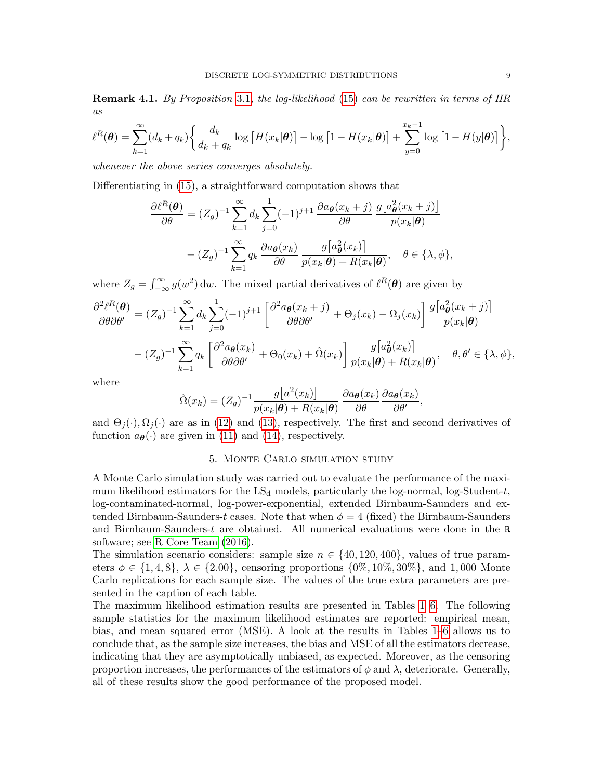Remark 4.1. By Proposition [3.1](#page-2-0), the log-likelihood [\(15\)](#page-7-0) can be rewritten in terms of HR as

$$
\ell^{R}(\boldsymbol{\theta}) = \sum_{k=1}^{\infty} (d_k + q_k) \bigg\{ \frac{d_k}{d_k + q_k} \log \big[ H(x_k | \boldsymbol{\theta}) \big] - \log \big[ 1 - H(x_k | \boldsymbol{\theta}) \big] + \sum_{y=0}^{x_k - 1} \log \big[ 1 - H(y | \boldsymbol{\theta}) \big] \bigg\},
$$

whenever the above series converges absolutely.

Differentiating in [\(15\)](#page-7-0), a straightforward computation shows that

$$
\frac{\partial \ell^{R}(\boldsymbol{\theta})}{\partial \theta} = (Z_{g})^{-1} \sum_{k=1}^{\infty} d_{k} \sum_{j=0}^{1} (-1)^{j+1} \frac{\partial a_{\boldsymbol{\theta}}(x_{k}+j)}{\partial \theta} \frac{g[a_{\boldsymbol{\theta}}^{2}(x_{k}+j)]}{p(x_{k}|\boldsymbol{\theta})}
$$

$$
-(Z_{g})^{-1} \sum_{k=1}^{\infty} q_{k} \frac{\partial a_{\boldsymbol{\theta}}(x_{k})}{\partial \theta} \frac{g[a_{\boldsymbol{\theta}}^{2}(x_{k})]}{p(x_{k}|\boldsymbol{\theta}) + R(x_{k}|\boldsymbol{\theta})}, \quad \theta \in \{\lambda, \phi\},
$$

where  $Z_g = \int_{-\infty}^{\infty} g(w^2) dw$ . The mixed partial derivatives of  $\ell^R(\theta)$  are given by

$$
\frac{\partial^2 \ell^R(\boldsymbol{\theta})}{\partial \theta \partial \theta'} = (Z_g)^{-1} \sum_{k=1}^{\infty} d_k \sum_{j=0}^1 (-1)^{j+1} \left[ \frac{\partial^2 a_{\boldsymbol{\theta}}(x_k + j)}{\partial \theta \partial \theta'} + \Theta_j(x_k) - \Omega_j(x_k) \right] \frac{g[a_{\boldsymbol{\theta}}^2(x_k + j)]}{p(x_k|\boldsymbol{\theta})}
$$

$$
- (Z_g)^{-1} \sum_{k=1}^{\infty} q_k \left[ \frac{\partial^2 a_{\boldsymbol{\theta}}(x_k)}{\partial \theta \partial \theta'} + \Theta_0(x_k) + \hat{\Omega}(x_k) \right] \frac{g[a_{\boldsymbol{\theta}}^2(x_k)]}{p(x_k|\boldsymbol{\theta}) + R(x_k|\boldsymbol{\theta})}, \quad \boldsymbol{\theta}, \boldsymbol{\theta}' \in \{\lambda, \phi\},
$$

where

$$
\hat{\Omega}(x_k) = (Z_g)^{-1} \frac{g[a^2(x_k)]}{p(x_k|\theta) + R(x_k|\theta)} \frac{\partial a_{\theta}(x_k)}{\partial \theta} \frac{\partial a_{\theta}(x_k)}{\partial \theta'}
$$

,

and  $\Theta_j(\cdot), \Omega_j(\cdot)$  are as in [\(12\)](#page-6-1) and [\(13\)](#page-6-2), respectively. The first and second derivatives of function  $a_{\theta}(\cdot)$  are given in [\(11\)](#page-6-3) and [\(14\)](#page-7-1), respectively.

# 5. Monte Carlo simulation study

<span id="page-8-0"></span>A Monte Carlo simulation study was carried out to evaluate the performance of the maximum likelihood estimators for the  $LS_d$  models, particularly the log-normal, log-Student-t, log-contaminated-normal, log-power-exponential, extended Birnbaum-Saunders and extended Birnbaum-Saunders-t cases. Note that when  $\phi = 4$  (fixed) the Birnbaum-Saunders and Birnbaum-Saunders-t are obtained. All numerical evaluations were done in the R software; see [R Core Team](#page-16-9) [\(2016\)](#page-16-9).

The simulation scenario considers: sample size  $n \in \{40, 120, 400\}$ , values of true parameters  $\phi \in \{1, 4, 8\}, \ \lambda \in \{2.00\},\$  censoring proportions  $\{0\%, 10\%, 30\%\},\$  and 1,000 Monte Carlo replications for each sample size. The values of the true extra parameters are presented in the caption of each table.

The maximum likelihood estimation results are presented in Tables [1–](#page-9-0)[6.](#page-11-0) The following sample statistics for the maximum likelihood estimates are reported: empirical mean, bias, and mean squared error (MSE). A look at the results in Tables [1–](#page-9-0)[6](#page-11-0) allows us to conclude that, as the sample size increases, the bias and MSE of all the estimators decrease, indicating that they are asymptotically unbiased, as expected. Moreover, as the censoring proportion increases, the performances of the estimators of  $\phi$  and  $\lambda$ , deteriorate. Generally, all of these results show the good performance of the proposed model.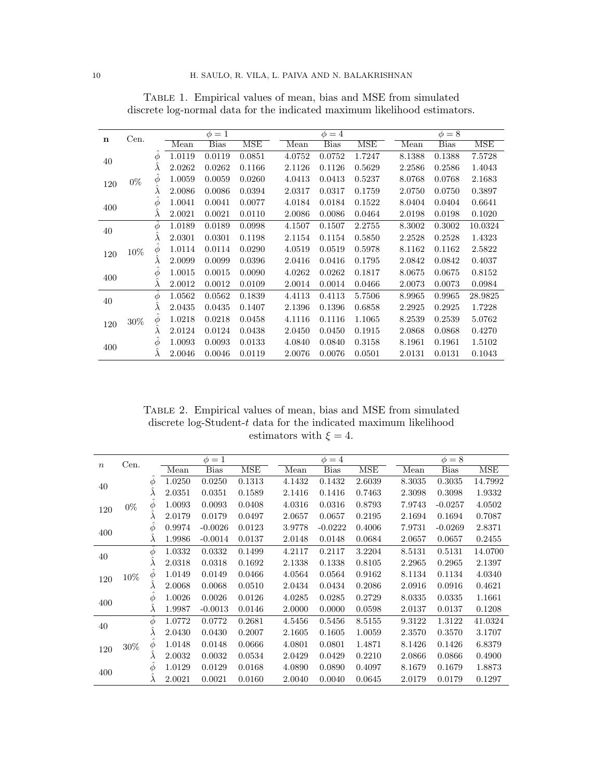| n   | Cen.   |           |        | $\phi=1$ |        |        | $\phi = 4$  |        |        | $\phi = 8$  |         |
|-----|--------|-----------|--------|----------|--------|--------|-------------|--------|--------|-------------|---------|
|     |        |           | Mean   | Bias     | MSE    | Mean   | <b>Bias</b> | MSE    | Mean   | <b>Bias</b> | MSE     |
| 40  |        | Φ         | 1.0119 | 0.0119   | 0.0851 | 4.0752 | 0.0752      | 1.7247 | 8.1388 | 0.1388      | 7.5728  |
|     |        | $\lambda$ | 2.0262 | 0.0262   | 0.1166 | 2.1126 | 0.1126      | 0.5629 | 2.2586 | 0.2586      | 1.4043  |
| 120 | $0\%$  | φ         | 1.0059 | 0.0059   | 0.0260 | 4.0413 | 0.0413      | 0.5237 | 8.0768 | 0.0768      | 2.1683  |
|     |        | $\lambda$ | 2.0086 | 0.0086   | 0.0394 | 2.0317 | 0.0317      | 0.1759 | 2.0750 | 0.0750      | 0.3897  |
| 400 |        | φ         | 1.0041 | 0.0041   | 0.0077 | 4.0184 | 0.0184      | 0.1522 | 8.0404 | 0.0404      | 0.6641  |
|     |        | $\lambda$ | 2.0021 | 0.0021   | 0.0110 | 2.0086 | 0.0086      | 0.0464 | 2.0198 | 0.0198      | 0.1020  |
| 40  |        | Φ         | 1.0189 | 0.0189   | 0.0998 | 4.1507 | 0.1507      | 2.2755 | 8.3002 | 0.3002      | 10.0324 |
|     |        | $\lambda$ | 2.0301 | 0.0301   | 0.1198 | 2.1154 | 0.1154      | 0.5850 | 2.2528 | 0.2528      | 1.4323  |
| 120 | $10\%$ | Φ         | 1.0114 | 0.0114   | 0.0290 | 4.0519 | 0.0519      | 0.5978 | 8.1162 | 0.1162      | 2.5822  |
|     |        | $\lambda$ | 2.0099 | 0.0099   | 0.0396 | 2.0416 | 0.0416      | 0.1795 | 2.0842 | 0.0842      | 0.4037  |
|     |        | $\phi$    | 1.0015 | 0.0015   | 0.0090 | 4.0262 | 0.0262      | 0.1817 | 8.0675 | 0.0675      | 0.8152  |
| 400 |        | $\lambda$ | 2.0012 | 0.0012   | 0.0109 | 2.0014 | 0.0014      | 0.0466 | 2.0073 | 0.0073      | 0.0984  |
| 40  |        | $\phi$    | 1.0562 | 0.0562   | 0.1839 | 4.4113 | 0.4113      | 5.7506 | 8.9965 | 0.9965      | 28.9825 |
|     |        | $\lambda$ | 2.0435 | 0.0435   | 0.1407 | 2.1396 | 0.1396      | 0.6858 | 2.2925 | 0.2925      | 1.7228  |
| 120 | $30\%$ | φ         | 1.0218 | 0.0218   | 0.0458 | 4.1116 | 0.1116      | 1.1065 | 8.2539 | 0.2539      | 5.0762  |
|     |        | $\lambda$ | 2.0124 | 0.0124   | 0.0438 | 2.0450 | 0.0450      | 0.1915 | 2.0868 | 0.0868      | 0.4270  |
|     |        | φ         | 1.0093 | 0.0093   | 0.0133 | 4.0840 | 0.0840      | 0.3158 | 8.1961 | 0.1961      | 1.5102  |
| 400 |        |           | 2.0046 | 0.0046   | 0.0119 | 2.0076 | 0.0076      | 0.0501 | 2.0131 | 0.0131      | 0.1043  |

<span id="page-9-0"></span>Table 1. Empirical values of mean, bias and MSE from simulated discrete log-normal data for the indicated maximum likelihood estimators.

Table 2. Empirical values of mean, bias and MSE from simulated discrete $\log\textnormal{-}\mathrm{Student}\textnormal{-}t$  data for the indicated maximum likelihood estimators with  $\xi = 4$ .

|                  | Cen.   |                 |        | $\phi=1$    |            |        | $\phi = 4$  |            |        | $\phi = 8$  |            |
|------------------|--------|-----------------|--------|-------------|------------|--------|-------------|------------|--------|-------------|------------|
| $\boldsymbol{n}$ |        |                 | Mean   | <b>Bias</b> | <b>MSE</b> | Mean   | <b>Bias</b> | <b>MSE</b> | Mean   | <b>Bias</b> | <b>MSE</b> |
| 40               |        | Φ               | 1.0250 | 0.0250      | 0.1313     | 4.1432 | 0.1432      | 2.6039     | 8.3035 | 0.3035      | 14.7992    |
|                  |        | λ               | 2.0351 | 0.0351      | 0.1589     | 2.1416 | 0.1416      | 0.7463     | 2.3098 | 0.3098      | 1.9332     |
| 120              | $0\%$  | φ               | 1.0093 | 0.0093      | 0.0408     | 4.0316 | 0.0316      | 0.8793     | 7.9743 | $-0.0257$   | 4.0502     |
|                  |        | λ               | 2.0179 | 0.0179      | 0.0497     | 2.0657 | 0.0657      | 0.2195     | 2.1694 | 0.1694      | 0.7087     |
| 400              |        | $\phi$          | 0.9974 | $-0.0026$   | 0.0123     | 3.9778 | $-0.0222$   | 0.4006     | 7.9731 | $-0.0269$   | 2.8371     |
|                  |        | $\hat{\lambda}$ | 1.9986 | $-0.0014$   | 0.0137     | 2.0148 | 0.0148      | 0.0684     | 2.0657 | 0.0657      | 0.2455     |
| 40               |        | $\phi$          | 1.0332 | 0.0332      | 0.1499     | 4.2117 | 0.2117      | 3.2204     | 8.5131 | 0.5131      | 14.0700    |
|                  |        | λ               | 2.0318 | 0.0318      | 0.1692     | 2.1338 | 0.1338      | 0.8105     | 2.2965 | 0.2965      | 2.1397     |
| 120              | 10%    | $\ddot{\phi}$   | 1.0149 | 0.0149      | 0.0466     | 4.0564 | 0.0564      | 0.9162     | 8.1134 | 0.1134      | 4.0340     |
|                  |        | λ               | 2.0068 | 0.0068      | 0.0510     | 2.0434 | 0.0434      | 0.2086     | 2.0916 | 0.0916      | 0.4621     |
| 400              |        | $\phi$          | 1.0026 | 0.0026      | 0.0126     | 4.0285 | 0.0285      | 0.2729     | 8.0335 | 0.0335      | 1.1661     |
|                  |        | $\hat{\lambda}$ | 1.9987 | $-0.0013$   | 0.0146     | 2.0000 | 0.0000      | 0.0598     | 2.0137 | 0.0137      | 0.1208     |
| 40               |        | $\hat{\phi}$    | 1.0772 | 0.0772      | 0.2681     | 4.5456 | 0.5456      | 8.5155     | 9.3122 | 1.3122      | 41.0324    |
|                  |        | $\lambda$       | 2.0430 | 0.0430      | 0.2007     | 2.1605 | 0.1605      | 1.0059     | 2.3570 | 0.3570      | 3.1707     |
| 120              | $30\%$ | $\phi$          | 1.0148 | 0.0148      | 0.0666     | 4.0801 | 0.0801      | 1.4871     | 8.1426 | 0.1426      | 6.8379     |
|                  |        | λ               | 2.0032 | 0.0032      | 0.0534     | 2.0429 | 0.0429      | 0.2210     | 2.0866 | 0.0866      | 0.4900     |
| 400              |        | φ               | 1.0129 | 0.0129      | 0.0168     | 4.0890 | 0.0890      | 0.4097     | 8.1679 | 0.1679      | 1.8873     |
|                  |        |                 | 2.0021 | 0.0021      | 0.0160     | 2.0040 | 0.0040      | 0.0645     | 2.0179 | 0.0179      | 0.1297     |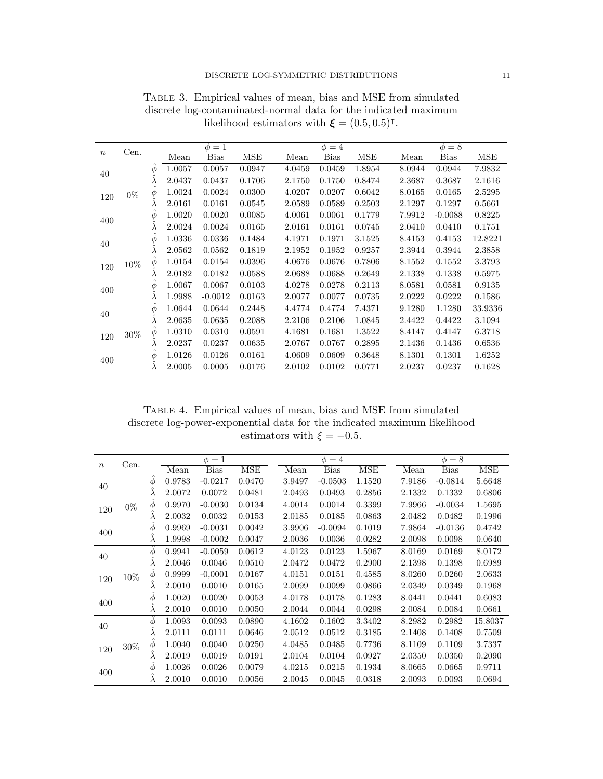|       |        |           |        | $\phi=1$  |            |        | $\phi = 4$  |        |        | $\phi = 8$ |            |
|-------|--------|-----------|--------|-----------|------------|--------|-------------|--------|--------|------------|------------|
| $\,n$ | Cen.   |           | Mean   | Bias      | <b>MSE</b> | Mean   | <b>Bias</b> | MSE    | Mean   | Bias       | <b>MSE</b> |
| 40    |        | Φ         | 1.0057 | 0.0057    | 0.0947     | 4.0459 | 0.0459      | 1.8954 | 8.0944 | 0.0944     | 7.9832     |
|       |        | $\lambda$ | 2.0437 | 0.0437    | 0.1706     | 2.1750 | 0.1750      | 0.8474 | 2.3687 | 0.3687     | 2.1616     |
| 120   | $0\%$  | Φ         | 1.0024 | 0.0024    | 0.0300     | 4.0207 | 0.0207      | 0.6042 | 8.0165 | 0.0165     | 2.5295     |
|       |        | л         | 2.0161 | 0.0161    | 0.0545     | 2.0589 | 0.0589      | 0.2503 | 2.1297 | 0.1297     | 0.5661     |
| 400   |        | Φ         | 1.0020 | 0.0020    | 0.0085     | 4.0061 | 0.0061      | 0.1779 | 7.9912 | $-0.0088$  | 0.8225     |
|       |        | $\lambda$ | 2.0024 | 0.0024    | 0.0165     | 2.0161 | 0.0161      | 0.0745 | 2.0410 | 0.0410     | 0.1751     |
| 40    |        | Φ         | 1.0336 | 0.0336    | 0.1484     | 4.1971 | 0.1971      | 3.1525 | 8.4153 | 0.4153     | 12.8221    |
|       |        | $\lambda$ | 2.0562 | 0.0562    | 0.1819     | 2.1952 | 0.1952      | 0.9257 | 2.3944 | 0.3944     | 2.3858     |
| 120   | $10\%$ | $\varphi$ | 1.0154 | 0.0154    | 0.0396     | 4.0676 | 0.0676      | 0.7806 | 8.1552 | 0.1552     | 3.3793     |
|       |        | л         | 2.0182 | 0.0182    | 0.0588     | 2.0688 | 0.0688      | 0.2649 | 2.1338 | 0.1338     | 0.5975     |
| 400   |        | Φ         | 1.0067 | 0.0067    | 0.0103     | 4.0278 | 0.0278      | 0.2113 | 8.0581 | 0.0581     | 0.9135     |
|       |        | $\lambda$ | 1.9988 | $-0.0012$ | 0.0163     | 2.0077 | 0.0077      | 0.0735 | 2.0222 | 0.0222     | 0.1586     |
| 40    |        | Φ         | 1.0644 | 0.0644    | 0.2448     | 4.4774 | 0.4774      | 7.4371 | 9.1280 | 1.1280     | 33.9336    |
|       |        | $\lambda$ | 2.0635 | 0.0635    | 0.2088     | 2.2106 | 0.2106      | 1.0845 | 2.4422 | 0.4422     | 3.1094     |
| 120   | $30\%$ | Φ         | 1.0310 | 0.0310    | 0.0591     | 4.1681 | 0.1681      | 1.3522 | 8.4147 | 0.4147     | 6.3718     |
|       |        | λ         | 2.0237 | 0.0237    | 0.0635     | 2.0767 | 0.0767      | 0.2895 | 2.1436 | 0.1436     | 0.6536     |
|       |        | Φ         | 1.0126 | 0.0126    | 0.0161     | 4.0609 | 0.0609      | 0.3648 | 8.1301 | 0.1301     | 1.6252     |
| 400   |        | $\lambda$ | 2.0005 | 0.0005    | 0.0176     | 2.0102 | 0.0102      | 0.0771 | 2.0237 | 0.0237     | 0.1628     |

Table 3. Empirical values of mean, bias and MSE from simulated discrete log-contaminated-normal data for the indicated maximum likelihood estimators with  $\xi = (0.5, 0.5)^{\dagger}$ .

Table 4. Empirical values of mean, bias and MSE from simulated discrete log-power-exponential data for the indicated maximum likelihood estimators with  $\xi = -0.5$ .

|       | Cen.   |           |        | $\phi=1$    |            |        | $\phi = 4$  |            |        | $\phi = 8$  |            |
|-------|--------|-----------|--------|-------------|------------|--------|-------------|------------|--------|-------------|------------|
| $\,n$ |        |           | Mean   | <b>Bias</b> | <b>MSE</b> | Mean   | <b>Bias</b> | <b>MSE</b> | Mean   | <b>Bias</b> | <b>MSE</b> |
| 40    |        | Φ         | 0.9783 | $-0.0217$   | 0.0470     | 3.9497 | $-0.0503$   | 1.1520     | 7.9186 | $-0.0814$   | 5.6648     |
|       |        | λ         | 2.0072 | 0.0072      | 0.0481     | 2.0493 | 0.0493      | 0.2856     | 2.1332 | 0.1332      | 0.6806     |
| 120   | $0\%$  | Φ         | 0.9970 | $-0.0030$   | 0.0134     | 4.0014 | 0.0014      | 0.3399     | 7.9966 | $-0.0034$   | 1.5695     |
|       |        | $\lambda$ | 2.0032 | 0.0032      | 0.0153     | 2.0185 | 0.0185      | 0.0863     | 2.0482 | 0.0482      | 0.1996     |
| 400   |        | Φ         | 0.9969 | $-0.0031$   | 0.0042     | 3.9906 | $-0.0094$   | 0.1019     | 7.9864 | $-0.0136$   | 0.4742     |
|       |        | $\lambda$ | 1.9998 | $-0.0002$   | 0.0047     | 2.0036 | 0.0036      | 0.0282     | 2.0098 | 0.0098      | 0.0640     |
| 40    |        | $\phi$    | 0.9941 | $-0.0059$   | 0.0612     | 4.0123 | 0.0123      | 1.5967     | 8.0169 | 0.0169      | 8.0172     |
|       |        | $\lambda$ | 2.0046 | 0.0046      | 0.0510     | 2.0472 | 0.0472      | 0.2900     | 2.1398 | 0.1398      | 0.6989     |
| 120   | $10\%$ | $\phi$    | 0.9999 | $-0,0001$   | 0.0167     | 4.0151 | 0.0151      | 0.4585     | 8.0260 | 0.0260      | 2.0633     |
|       |        |           | 2.0010 | 0.0010      | 0.0165     | 2.0099 | 0.0099      | 0.0866     | 2.0349 | 0.0349      | 0.1968     |
| 400   |        | φ         | 1.0020 | $0.0020\,$  | 0.0053     | 4.0178 | 0.0178      | 0.1283     | 8.0441 | 0.0441      | 0.6083     |
|       |        | $\lambda$ | 2.0010 | 0.0010      | 0.0050     | 2.0044 | 0.0044      | 0.0298     | 2.0084 | 0.0084      | 0.0661     |
| 40    |        | $\phi$    | 1.0093 | 0.0093      | 0.0890     | 4.1602 | 0.1602      | 3.3402     | 8.2982 | 0.2982      | 15.8037    |
|       |        | λ         | 2.0111 | 0.0111      | 0.0646     | 2.0512 | 0.0512      | 0.3185     | 2.1408 | 0.1408      | 0.7509     |
| 120   | $30\%$ | $\phi$    | 1.0040 | 0.0040      | 0.0250     | 4.0485 | 0.0485      | 0.7736     | 8.1109 | 0.1109      | 3.7337     |
|       |        | λ         | 2.0019 | 0.0019      | 0.0191     | 2.0104 | 0.0104      | 0.0927     | 2.0350 | 0.0350      | 0.2090     |
| 400   |        | Φ         | 1.0026 | 0.0026      | 0.0079     | 4.0215 | 0.0215      | 0.1934     | 8.0665 | 0.0665      | 0.9711     |
|       |        | λ         | 2.0010 | 0.0010      | 0.0056     | 2.0045 | 0.0045      | 0.0318     | 2.0093 | 0.0093      | 0.0694     |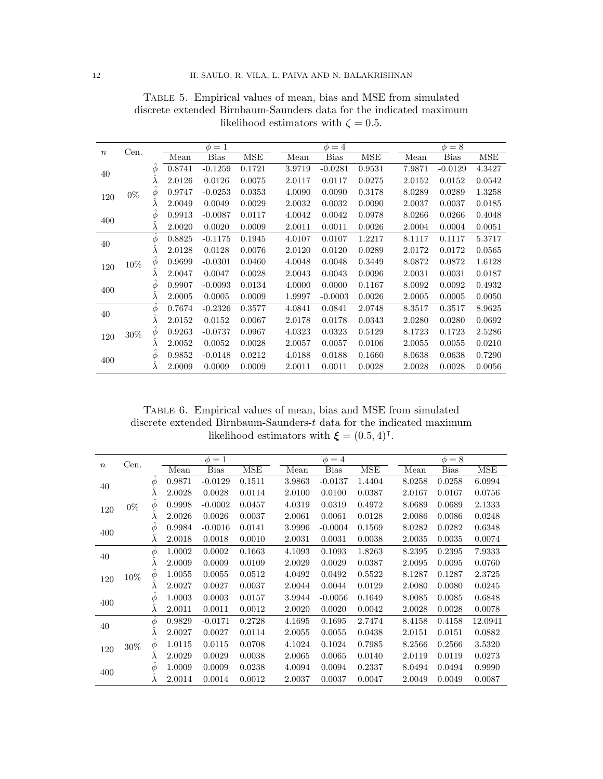|                  | Cen.   |           |        | $\phi=1$    |            |        | $\phi = 4$  |            |        | $\phi = 8$  |            |
|------------------|--------|-----------|--------|-------------|------------|--------|-------------|------------|--------|-------------|------------|
| $\boldsymbol{n}$ |        |           | Mean   | <b>Bias</b> | <b>MSE</b> | Mean   | <b>Bias</b> | <b>MSE</b> | Mean   | <b>Bias</b> | <b>MSE</b> |
| 40               |        | $\phi$    | 0.8741 | $-0.1259$   | 0.1721     | 3.9719 | $-0.0281$   | 0.9531     | 7.9871 | $-0.0129$   | 4.3427     |
|                  |        | $\lambda$ | 2.0126 | 0.0126      | 0.0075     | 2.0117 | 0.0117      | 0.0275     | 2.0152 | 0.0152      | 0.0542     |
| 120              | $0\%$  | Φ         | 0.9747 | $-0.0253$   | 0.0353     | 4.0090 | 0.0090      | 0.3178     | 8.0289 | 0.0289      | 1.3258     |
|                  |        | $\lambda$ | 2.0049 | 0.0049      | 0.0029     | 2.0032 | 0.0032      | 0.0090     | 2.0037 | 0.0037      | 0.0185     |
|                  |        | Φ         | 0.9913 | $-0.0087$   | 0.0117     | 4.0042 | 0.0042      | 0.0978     | 8.0266 | 0.0266      | 0.4048     |
| 400              |        | $\lambda$ | 2.0020 | 0.0020      | 0.0009     | 2.0011 | 0.0011      | 0.0026     | 2.0004 | 0.0004      | 0.0051     |
| 40               |        | Φ         | 0.8825 | $-0.1175$   | 0.1945     | 4.0107 | 0.0107      | 1.2217     | 8.1117 | 0.1117      | 5.3717     |
|                  |        | $\lambda$ | 2.0128 | 0.0128      | 0.0076     | 2.0120 | 0.0120      | 0.0289     | 2.0172 | 0.0172      | 0.0565     |
| 120              | $10\%$ | Φ         | 0.9699 | $-0.0301$   | 0.0460     | 4.0048 | 0.0048      | 0.3449     | 8.0872 | 0.0872      | 1.6128     |
|                  |        |           | 2.0047 | 0.0047      | 0.0028     | 2.0043 | 0.0043      | 0.0096     | 2.0031 | 0.0031      | 0.0187     |
| 400              |        | Φ         | 0.9907 | $-0.0093$   | 0.0134     | 4.0000 | 0.0000      | 0.1167     | 8.0092 | 0.0092      | 0.4932     |
|                  |        | $\lambda$ | 2.0005 | 0.0005      | 0.0009     | 1.9997 | $-0.0003$   | 0.0026     | 2.0005 | 0.0005      | 0.0050     |
| 40               |        | Φ         | 0.7674 | $-0.2326$   | 0.3577     | 4.0841 | 0.0841      | 2.0748     | 8.3517 | 0.3517      | 8.9625     |
|                  |        | $\lambda$ | 2.0152 | 0.0152      | 0.0067     | 2.0178 | 0.0178      | 0.0343     | 2.0280 | 0.0280      | 0.0692     |
| 120              | $30\%$ | Φ         | 0.9263 | $-0.0737$   | 0.0967     | 4.0323 | 0.0323      | 0.5129     | 8.1723 | 0.1723      | 2.5286     |
|                  |        | $\lambda$ | 2.0052 | 0.0052      | 0.0028     | 2.0057 | 0.0057      | 0.0106     | 2.0055 | 0.0055      | 0.0210     |
|                  |        | Φ         | 0.9852 | $-0.0148$   | 0.0212     | 4.0188 | 0.0188      | 0.1660     | 8.0638 | 0.0638      | 0.7290     |
| 400              |        | $\lambda$ | 2.0009 | 0.0009      | 0.0009     | 2.0011 | 0.0011      | 0.0028     | 2.0028 | 0.0028      | 0.0056     |

Table 5. Empirical values of mean, bias and MSE from simulated discrete extended Birnbaum-Saunders data for the indicated maximum likelihood estimators with  $\zeta = 0.5$ .

<span id="page-11-0"></span>Table 6. Empirical values of mean, bias and MSE from simulated discrete extended Birnbaum-Saunders-t data for the indicated maximum likelihood estimators with  $\xi = (0.5, 4)$ <sup>T</sup>.

|         | Cen.   |           |        | $\phi=1$    |        |        | $\phi = 4$ |        |        | $\phi = 8$  |         |
|---------|--------|-----------|--------|-------------|--------|--------|------------|--------|--------|-------------|---------|
| $\it n$ |        |           | Mean   | <b>Bias</b> | MSE    | Mean   | Bias       | MSE    | Mean   | <b>Bias</b> | MSE     |
| 40      |        | Ф         | 0.9871 | $-0.0129$   | 0.1511 | 3.9863 | $-0.0137$  | 1.4404 | 8.0258 | 0.0258      | 6.0994  |
|         |        | λ         | 2.0028 | 0.0028      | 0.0114 | 2.0100 | 0.0100     | 0.0387 | 2.0167 | 0.0167      | 0.0756  |
| 120     | $0\%$  | $\phi$    | 0.9998 | $-0.0002$   | 0.0457 | 4.0319 | 0.0319     | 0.4972 | 8.0689 | 0.0689      | 2.1333  |
|         |        | λ         | 2.0026 | 0.0026      | 0.0037 | 2.0061 | 0.0061     | 0.0128 | 2.0086 | 0.0086      | 0.0248  |
| 400     |        | Ф         | 0.9984 | $-0.0016$   | 0.0141 | 3.9996 | $-0.0004$  | 0.1569 | 8.0282 | 0.0282      | 0.6348  |
|         |        | λ         | 2.0018 | 0.0018      | 0.0010 | 2.0031 | 0.0031     | 0.0038 | 2.0035 | 0.0035      | 0.0074  |
| 40      |        | Φ         | 1.0002 | 0.0002      | 0.1663 | 4.1093 | 0.1093     | 1.8263 | 8.2395 | 0.2395      | 7.9333  |
|         |        | λ         | 2.0009 | 0.0009      | 0.0109 | 2.0029 | 0.0029     | 0.0387 | 2.0095 | 0.0095      | 0.0760  |
| 120     | $10\%$ | $\phi$    | 1.0055 | 0.0055      | 0.0512 | 4.0492 | 0.0492     | 0.5522 | 8.1287 | 0.1287      | 2.3725  |
|         |        | λ         | 2.0027 | 0.0027      | 0.0037 | 2.0044 | 0.0044     | 0.0129 | 2.0080 | 0.0080      | 0.0245  |
| 400     |        | Ф         | 1.0003 | 0.0003      | 0.0157 | 3.9944 | $-0.0056$  | 0.1649 | 8.0085 | 0.0085      | 0.6848  |
|         |        | $\lambda$ | 2.0011 | 0.0011      | 0.0012 | 2.0020 | 0.0020     | 0.0042 | 2.0028 | 0.0028      | 0.0078  |
| 40      |        | Ф         | 0.9829 | $-0.0171$   | 0.2728 | 4.1695 | 0.1695     | 2.7474 | 8.4158 | 0.4158      | 12.0941 |
|         |        | λ         | 2.0027 | 0.0027      | 0.0114 | 2.0055 | 0.0055     | 0.0438 | 2.0151 | 0.0151      | 0.0882  |
| 120     | $30\%$ | Φ         | 1.0115 | 0.0115      | 0.0708 | 4.1024 | 0.1024     | 0.7985 | 8.2566 | 0.2566      | 3.5320  |
|         |        | $\lambda$ | 2.0029 | 0.0029      | 0.0038 | 2.0065 | 0.0065     | 0.0140 | 2.0119 | 0.0119      | 0.0273  |
|         |        | Φ         | 1.0009 | 0.0009      | 0.0238 | 4.0094 | 0.0094     | 0.2337 | 8.0494 | 0.0494      | 0.9990  |
| 400     |        |           | 2.0014 | 0.0014      | 0.0012 | 2.0037 | 0.0037     | 0.0047 | 2.0049 | 0.0049      | 0.0087  |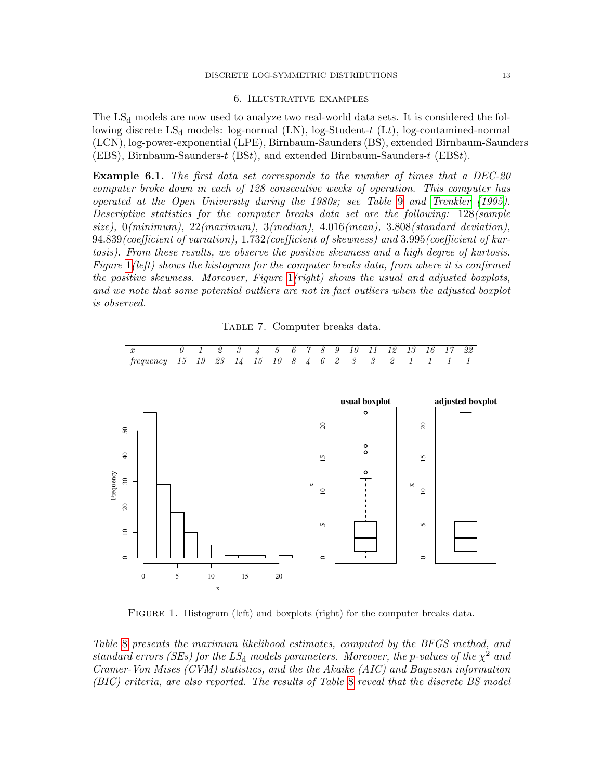#### DISCRETE LOG-SYMMETRIC DISTRIBUTIONS 13

#### 6. Illustrative examples

<span id="page-12-0"></span>The  $LS<sub>d</sub>$  models are now used to analyze two real-world data sets. It is considered the following discrete  $LS_d$  models: log-normal (LN), log-Student-t (Lt), log-contamined-normal (LCN), log-power-exponential (LPE), Birnbaum-Saunders (BS), extended Birnbaum-Saunders (EBS), Birnbaum-Saunders-t (BSt), and extended Birnbaum-Saunders-t (EBSt).

**Example 6.1.** The first data set corresponds to the number of times that a DEC-20 computer broke down in each of 128 consecutive weeks of operation. This computer has operated at the Open University during the 1980s; see Table [9](#page-13-0) and [Trenkler](#page-16-10) [\(1995\)](#page-16-10). Descriptive statistics for the computer breaks data set are the following: 128(sample size),  $0(minimum)$ ,  $22(maximum)$ ,  $3(median)$ ,  $4.016(mean)$ ,  $3.808(statard\ deviation)$ , 94.839(coefficient of variation), 1.732(coefficient of skewness) and 3.995(coefficient of kurtosis). From these results, we observe the positive skewness and a high degree of kurtosis. Figure [1](#page-12-1)(left) shows the histogram for the computer breaks data, from where it is confirmed the positive skewness. Moreover, Figure [1](#page-12-1)(right) shows the usual and adjusted boxplots, and we note that some potential outliers are not in fact outliers when the adjusted boxplot is observed.

Table 7. Computer breaks data.

| $x$ 0 1 2 3 4 5 6 7 8 9 10 11 12 13 16 17 22      |  |  |  |  |  |  |  |  |  |
|---------------------------------------------------|--|--|--|--|--|--|--|--|--|
| frequency 15 19 23 14 15 10 8 4 6 2 3 3 2 1 1 1 1 |  |  |  |  |  |  |  |  |  |

<span id="page-12-1"></span>

FIGURE 1. Histogram (left) and boxplots (right) for the computer breaks data.

Table [8](#page-13-1) presents the maximum likelihood estimates, computed by the BFGS method, and standard errors (SEs) for the  $LS_d$  models parameters. Moreover, the p-values of the  $\chi^2$  and Cramer-Von Mises (CVM) statistics, and the the Akaike (AIC) and Bayesian information (BIC) criteria, are also reported. The results of Table [8](#page-13-1) reveal that the discrete BS model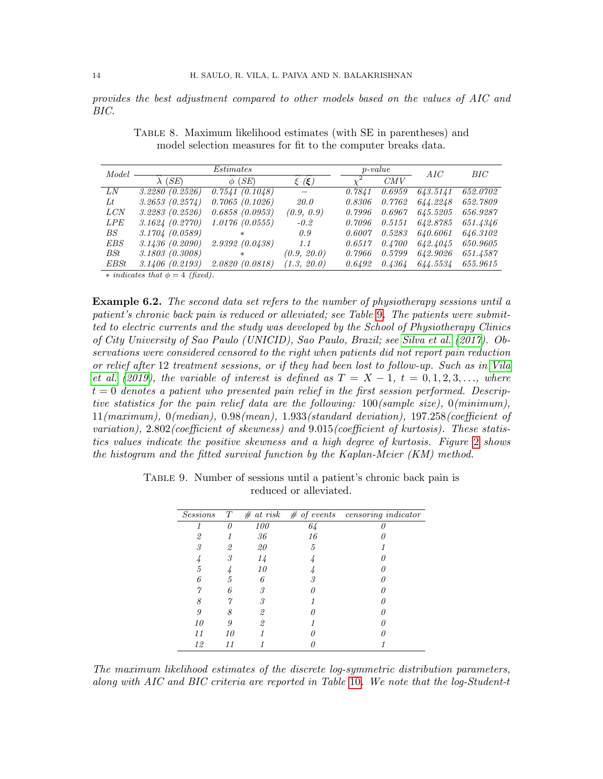<span id="page-13-1"></span>provides the best adjustment compared to other models based on the values of AIC and BIC.

| Model      |                 | Estimates       |             |        | $p-value$ | AIC      | BIC      |
|------------|-----------------|-----------------|-------------|--------|-----------|----------|----------|
|            | $\lambda$ (SE)  | (SE)<br>$\phi$  | $(\xi)$     |        | CMV       |          |          |
| LN         | 3.2280 (0.2526) | 0.7541(0.1048)  |             | 0.7841 | 0.6959    | 643.5141 | 652.0702 |
| Lt         | 3.2653(0.2574)  | 0.7065(0.1026)  | <i>20.0</i> | 0.8306 | 0.7762    | 644.2248 | 652.7809 |
| LCN        | 3.2283 (0.2526) | 0.6858(0.0953)  | (0.9, 0.9)  | 0.7996 | 0.6967    | 645.5205 | 656.9287 |
| <b>LPE</b> | 3.1624(0.2770)  | 1.0176(0.0555)  | $-0.2$      | 0.7096 | 0.5151    | 642.8785 | 651.4346 |
| BS         | 3.1704 (0.0589) | $\ast$          | 0.9         | 0.6007 | 0.5283    | 640.6061 | 646.3102 |
| <i>EBS</i> | 3.1436 (0.2090) | 2.9392(0.0438)  | 1.1         | 0.6517 | 0.4700    | 642.4045 | 650.9605 |
| BSt        | 3.1803(0.3008)  | $\ast$          | (0.9, 20.0) | 0.7966 | 0.5799    | 642.9026 | 651.4587 |
| EBSt       | 3.1406 (0.2193) | 2.0820 (0.0818) | (1.3, 20.0) | 0.6492 | 0.4364    | 644.5534 | 655.9615 |

Table 8. Maximum likelihood estimates (with SE in parentheses) and model selection measures for fit to the computer breaks data.

 $\ast$  indicates that  $\phi = 4$  (fixed).

**Example 6.2.** The second data set refers to the number of physiotherapy sessions until a patient's chronic back pain is reduced or alleviated; see Table [9](#page-13-0). The patients were submitted to electric currents and the study was developed by the School of Physiotherapy Clinics of City University of Sao Paulo (UNICID), Sao Paulo, Brazil; see [Silva et al.](#page-16-11) [\(2017\)](#page-16-11). Observations were considered censored to the right when patients did not report pain reduction or relief after 12 treatment sessions, or if they had been lost to follow-up. Such as in [Vila](#page-17-1) [et al.](#page-17-1) [\(2019\)](#page-17-1), the variable of interest is defined as  $T = X - 1$ ,  $t = 0, 1, 2, 3, \ldots$ , where  $t = 0$  denotes a patient who presented pain relief in the first session performed. Descriptive statistics for the pain relief data are the following: 100(sample size), 0(minimum), 11(maximum), 0(median), 0.98(mean), 1.933(standard deviation), 197.258(coefficient of variation), 2.802(coefficient of skewness) and 9.015(coefficient of kurtosis). These statistics values indicate the positive skewness and a high degree of kurtosis. Figure [2](#page-14-0) shows the histogram and the fitted survival function by the Kaplan-Meier (KM) method.

| <b>Sessions</b> | T  | # at risk  | $#$ of events | $\overline{censoring}$ indicator |
|-----------------|----|------------|---------------|----------------------------------|
|                 |    | <i>100</i> | 64            |                                  |
| 2               |    | 36         | 16            |                                  |
| 3               | 2  | 20         | 5             |                                  |
|                 | 3  | 14         |               |                                  |
| 5               |    | 10         |               |                                  |
| 6               | 5  |            | 3             |                                  |
|                 |    | R          |               |                                  |
| 8               |    | 3          |               |                                  |
| 9               |    | 2          |               |                                  |
| 10              |    | 2          |               |                                  |
| 11              | 10 |            |               |                                  |
| 12              |    |            |               |                                  |

<span id="page-13-0"></span>Table 9. Number of sessions until a patient's chronic back pain is reduced or alleviated.

The maximum likelihood estimates of the discrete log-symmetric distribution parameters, along with AIC and BIC criteria are reported in Table [10](#page-14-1). We note that the log-Student-t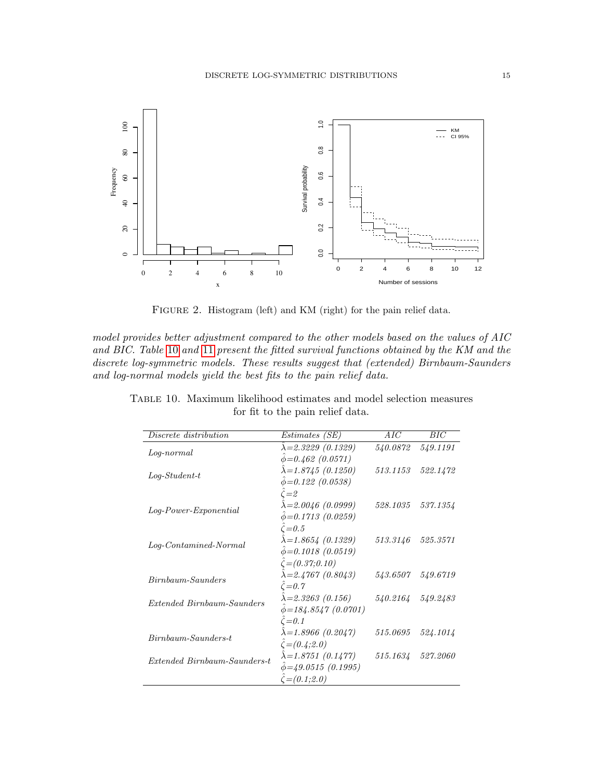<span id="page-14-0"></span>

FIGURE 2. Histogram (left) and KM (right) for the pain relief data.

model provides better adjustment compared to the other models based on the values of AIC and BIC. Table [10](#page-14-1) and [11](#page-15-0) present the fitted survival functions obtained by the KM and the discrete log-symmetric models. These results suggest that (extended) Birnbaum-Saunders and log-normal models yield the best fits to the pain relief data.

| Discrete distribution        | <i>Estimates (SE)</i>          | AIC               | BIC      |
|------------------------------|--------------------------------|-------------------|----------|
| $Log-normal$                 | $\lambda = 2.3229$ (0.1329)    | 540.0872          | 549.1191 |
|                              | $\hat{\phi} = 0.462$ (0.0571)  |                   |          |
| $Log-Student-t$              | $\lambda = 1.8745(0.1250)$     | 513.1153          | 522.1472 |
|                              | $\phi = 0.122$ (0.0538)        |                   |          |
|                              | $\zeta = 2$                    |                   |          |
| Log-Power-Exponential        | $\lambda = 2.0046$ (0.0999)    | 528.1035          | 537.1354 |
|                              | $\hat{\phi} = 0.1713$ (0.0259) |                   |          |
|                              | $\zeta = 0.5$                  |                   |          |
| $Log-Continu method-Normal$  | $\lambda = 1.8654$ (0.1329)    | 513.3146          | 525.3571 |
|                              | $\hat{\phi} = 0.1018$ (0.0519) |                   |          |
|                              | $\hat{\zeta} = (0.37; 0.10)$   |                   |          |
| Birnbaum-Saunders            | $\lambda = 2.4767$ (0.8043)    | 543.6507          | 549.6719 |
|                              | $\zeta = 0.7$                  |                   |          |
| Extended Birnbaum-Saunders   | $\lambda = 2.3263$ (0.156)     | 540.2164 549.2483 |          |
|                              | $\phi = 184.8547(0.0701)$      |                   |          |
|                              | $\zeta = 0.1$                  |                   |          |
| $Birnbaum-Saunders-t$        | $\lambda = 1.8966$ (0.2047)    | 515.0695          | 524.1014 |
|                              | $\zeta = (0.4; 2.0)$           |                   |          |
| Extended Birnbaum-Saunders-t | $\lambda = 1.8751(0.1477)$     | 515.1634 527.2060 |          |
|                              | $\phi = 49.0515(0.1995)$       |                   |          |
|                              | $\hat{\zeta} = (0.1; 2.0)$     |                   |          |

<span id="page-14-1"></span>Table 10. Maximum likelihood estimates and model selection measures for fit to the pain relief data.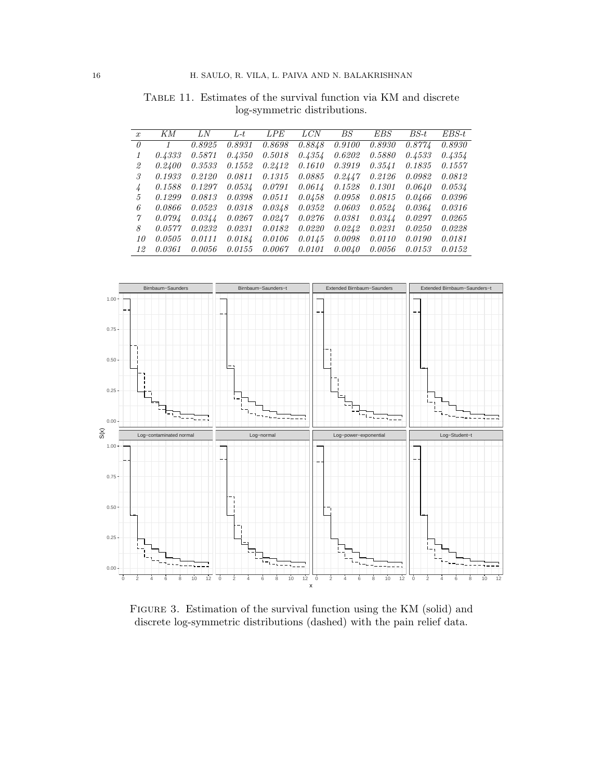| $\boldsymbol{x}$ | KМ     | LN     | L-t    | LPE    | <b>LCN</b> | BS     | EBS    | BS-t   | $EBS-t$ |
|------------------|--------|--------|--------|--------|------------|--------|--------|--------|---------|
| 0                |        | 0.8925 | 0.8931 | 0.8698 | 0.8848     | 0.9100 | 0.8930 | 0.8774 | 0.8930  |
|                  | 0.4333 | 0.5871 | 0.4350 | 0.5018 | 0.4354     | 0.6202 | 0.5880 | 0.4533 | 0.4354  |
| 2                | 0.2400 | 0.3533 | 0.1552 | 0.2412 | 0.1610     | 0.3919 | 0.3541 | 0.1835 | 0.1557  |
| 3                | 0.1933 | 0.2120 | 0.0811 | 0.1315 | 0.0885     | 0.2447 | 0.2126 | 0.0982 | 0.0812  |
| $\frac{1}{4}$    | 0.1588 | 0.1297 | 0.0534 | 0.0791 | 0.0614     | 0.1528 | 0.1301 | 0.0640 | 0.0534  |
| 5                | 0.1299 | 0.0813 | 0.0398 | 0.0511 | 0.0458     | 0.0958 | 0.0815 | 0.0466 | 0.0396  |
| 6                | 0.0866 | 0.0523 | 0.0318 | 0.0348 | 0.0352     | 0.0603 | 0.0524 | 0.0364 | 0.0316  |
| 7                | 0.0794 | 0.0344 | 0.0267 | 0.0247 | 0.0276     | 0.0381 | 0.0344 | 0.0297 | 0.0265  |
| 8                | 0.0577 | 0.0232 | 0.0231 | 0.0182 | 0.0220     | 0.0242 | 0.0231 | 0.0250 | 0.0228  |
| 10               | 0.0505 | 0.0111 | 0.0184 | 0.0106 | 0.0145     | 0.0098 | 0.0110 | 0.0190 | 0.0181  |
| 12               | 0.0361 | 0.0056 | 0.0155 | 0.0067 | 0.0101     | 0.0040 | 0.0056 | 0.0153 | 0.0152  |

<span id="page-15-0"></span>Table 11. Estimates of the survival function via KM and discrete log-symmetric distributions.



Figure 3. Estimation of the survival function using the KM (solid) and discrete log-symmetric distributions (dashed) with the pain relief data.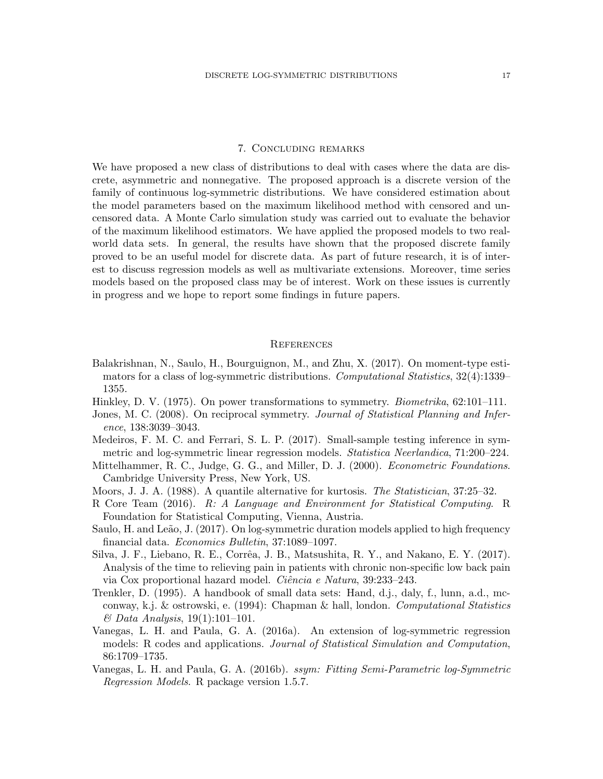## 7. Concluding remarks

We have proposed a new class of distributions to deal with cases where the data are discrete, asymmetric and nonnegative. The proposed approach is a discrete version of the family of continuous log-symmetric distributions. We have considered estimation about the model parameters based on the maximum likelihood method with censored and uncensored data. A Monte Carlo simulation study was carried out to evaluate the behavior of the maximum likelihood estimators. We have applied the proposed models to two realworld data sets. In general, the results have shown that the proposed discrete family proved to be an useful model for discrete data. As part of future research, it is of interest to discuss regression models as well as multivariate extensions. Moreover, time series models based on the proposed class may be of interest. Work on these issues is currently in progress and we hope to report some findings in future papers.

#### **REFERENCES**

- <span id="page-16-4"></span>Balakrishnan, N., Saulo, H., Bourguignon, M., and Zhu, X. (2017). On moment-type estimators for a class of log-symmetric distributions. Computational Statistics, 32(4):1339– 1355.
- <span id="page-16-6"></span><span id="page-16-0"></span>Hinkley, D. V. (1975). On power transformations to symmetry. Biometrika, 62:101–111.
- Jones, M. C. (2008). On reciprocal symmetry. *Journal of Statistical Planning and Infer*ence, 138:3039–3043.
- <span id="page-16-5"></span>Medeiros, F. M. C. and Ferrari, S. L. P. (2017). Small-sample testing inference in symmetric and log-symmetric linear regression models. Statistica Neerlandica, 71:200–224.
- <span id="page-16-8"></span>Mittelhammer, R. C., Judge, G. G., and Miller, D. J. (2000). Econometric Foundations. Cambridge University Press, New York, US.
- <span id="page-16-7"></span>Moors, J. J. A. (1988). A quantile alternative for kurtosis. The Statistician, 37:25–32.
- <span id="page-16-9"></span>R Core Team (2016). R: A Language and Environment for Statistical Computing. R Foundation for Statistical Computing, Vienna, Austria.
- <span id="page-16-3"></span>Saulo, H. and Leão, J. (2017). On log-symmetric duration models applied to high frequency financial data. Economics Bulletin, 37:1089–1097.
- <span id="page-16-11"></span>Silva, J. F., Liebano, R. E., Corrêa, J. B., Matsushita, R. Y., and Nakano, E. Y. (2017). Analysis of the time to relieving pain in patients with chronic non-specific low back pain via Cox proportional hazard model. *Ciência e Natura*, 39:233–243.
- <span id="page-16-10"></span>Trenkler, D. (1995). A handbook of small data sets: Hand, d.j., daly, f., lunn, a.d., mcconway, k.j. & ostrowski, e. (1994): Chapman & hall, london. Computational Statistics  $\&$  Data Analysis, 19(1):101–101.
- <span id="page-16-1"></span>Vanegas, L. H. and Paula, G. A. (2016a). An extension of log-symmetric regression models: R codes and applications. Journal of Statistical Simulation and Computation, 86:1709–1735.
- <span id="page-16-2"></span>Vanegas, L. H. and Paula, G. A. (2016b). *ssym: Fitting Semi-Parametric log-Symmetric* Regression Models. R package version 1.5.7.